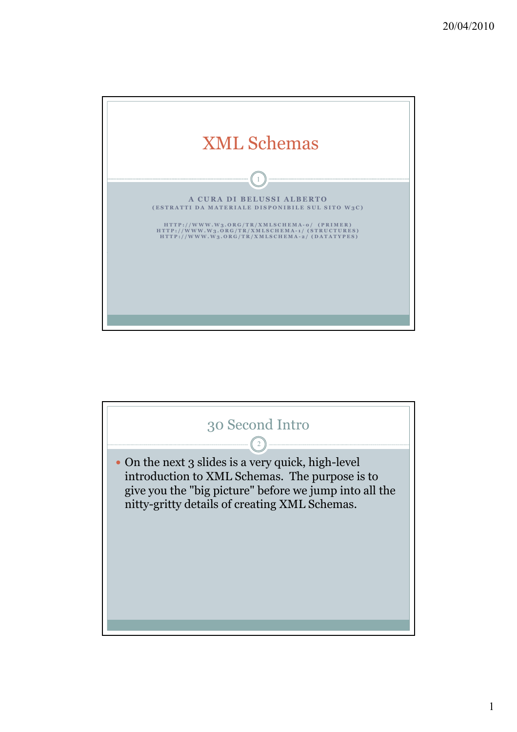

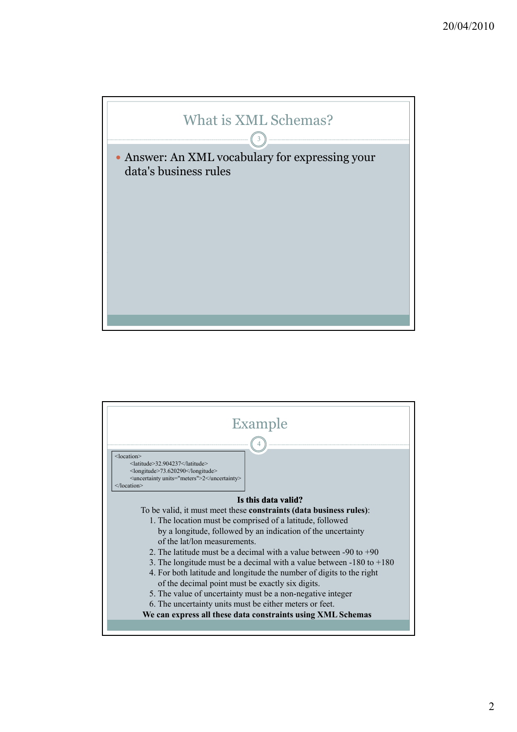

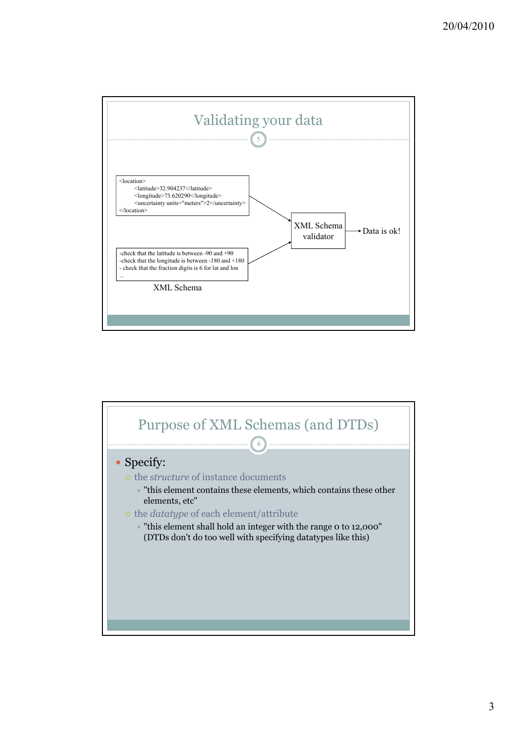

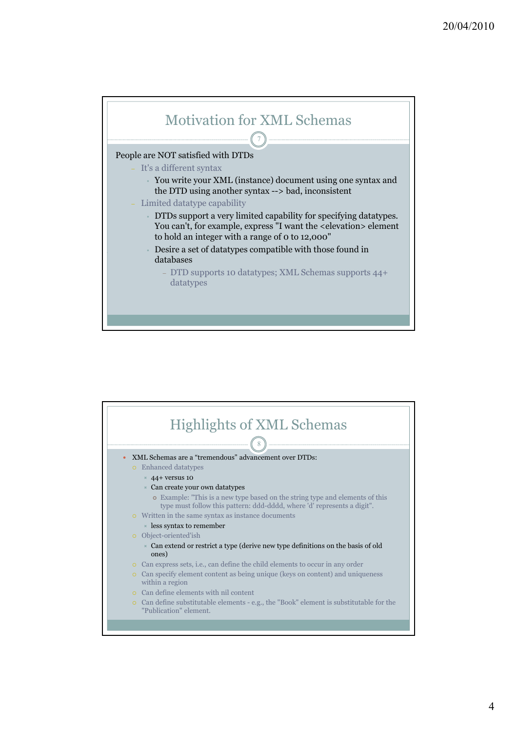

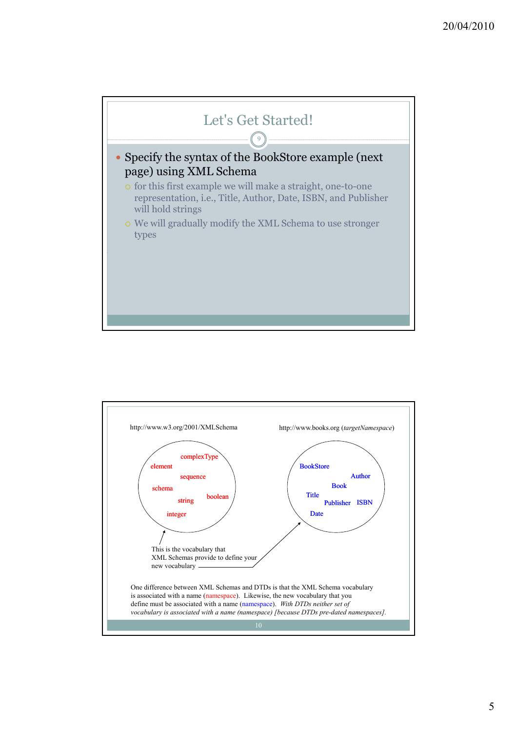

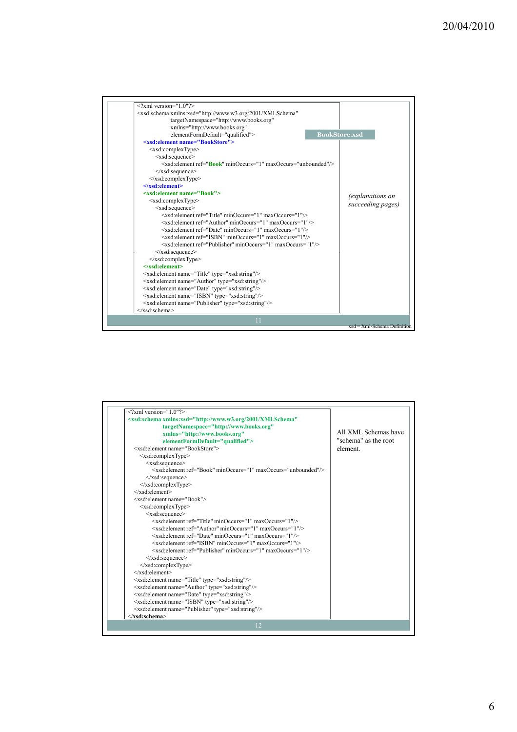| $\leq$ ?xml version="1.0"?>                                                                   |                               |
|-----------------------------------------------------------------------------------------------|-------------------------------|
| <xsd:schema <="" td="" xmlns:xsd="http://www.w3.org/2001/XMLSchema"><td></td></xsd:schema>    |                               |
| targetNamespace="http://www.books.org"                                                        |                               |
| xmlns="http://www.books.org"                                                                  |                               |
| elementFormDefault="qualified">                                                               | <b>BookStore.xsd</b>          |
| <xsd:element name="BookStore"></xsd:element>                                                  |                               |
| <xsd:complextype></xsd:complextype>                                                           |                               |
| <xsd:sequence></xsd:sequence>                                                                 |                               |
| <xsd:element maxoccurs="unbounded" minoccurs="1" ref="&lt;b&gt;Book&lt;/b&gt;"></xsd:element> |                               |
| $\langle xsd:sequence \rangle$                                                                |                               |
| $\langle xsd:complexType \rangle$                                                             |                               |
| $\le$ /xsd:element>                                                                           |                               |
| <xsd:element name="Book"></xsd:element>                                                       | (explanations on              |
| $\leq$ xsd:complexType $\geq$                                                                 | succeeding pages)             |
| <xsd:sequence></xsd:sequence>                                                                 |                               |
| <xsd:element maxoccurs="1" minoccurs="1" ref="Title"></xsd:element>                           |                               |
| <xsd:element maxoccurs="1" minoccurs="1" ref="Author"></xsd:element>                          |                               |
| <xsd:element maxoccurs="1" minoccurs="1" ref="Date"></xsd:element>                            |                               |
| <xsd:element maxoccurs="1" minoccurs="1" ref="ISBN"></xsd:element>                            |                               |
| <xsd:element maxoccurs="1" minoccurs="1" ref="Publisher"></xsd:element>                       |                               |
| $\le$ /xsd:sequence>                                                                          |                               |
| $\langle xsd:complexType \rangle$                                                             |                               |
| $\le$ /xsd:element>                                                                           |                               |
| <xsd:element name="Title" type="xsd:string"></xsd:element>                                    |                               |
| <xsd:element name="Author" type="xsd:string"></xsd:element>                                   |                               |
| <xsd:element name="Date" type="xsd:string"></xsd:element>                                     |                               |
| <xsd:element name="ISBN" type="xsd:string"></xsd:element>                                     |                               |
| <xsd:element name="Publisher" type="xsd:string"></xsd:element>                                |                               |
|                                                                                               |                               |
| 11                                                                                            |                               |
|                                                                                               | $xsd = Xml-Schema$ Definition |

| <xsd:schema <br="" xmlns:xsd="http://www.w3.org/2001/XMLSchema">targetNamespace="http://www.books.org"<br/>xmlns="http://www.books.org"<br/>elementFormDefault="qualified"&gt;<br/><xsd:element name="BookStore"><br/><math>\leq</math>xsd:complexType<math>&gt;</math><br/><xsd:sequence></xsd:sequence></xsd:element></xsd:schema> | All XML Schemas have<br>"schema" as the root<br>element |
|--------------------------------------------------------------------------------------------------------------------------------------------------------------------------------------------------------------------------------------------------------------------------------------------------------------------------------------|---------------------------------------------------------|
| $\leq$ xsd: element ref="Book" minOccurs="1" maxOccurs="unbounded"/><br>$\langle xsd:sequence \rangle$<br>$\le$ /xsd:complexType>                                                                                                                                                                                                    |                                                         |
| <br><xsd:element name="Book"></xsd:element>                                                                                                                                                                                                                                                                                          |                                                         |
| <xsd:complextype><br/><xsd:sequence><br/><xsd:element maxoccurs="1" minoccurs="1" ref="Title"></xsd:element></xsd:sequence></xsd:complextype>                                                                                                                                                                                        |                                                         |
| <xsd:element maxoccurs="1" minoccurs="1" ref="Author"></xsd:element><br><xsd:element maxoccurs="1" minoccurs="1" ref="Date"></xsd:element><br><xsd:element maxoccurs="1" minoccurs="1" ref="ISBN"></xsd:element>                                                                                                                     |                                                         |
| <xsd:element maxoccurs="1" minoccurs="1" ref="Publisher"></xsd:element><br>$\langle xsd:sequence \rangle$                                                                                                                                                                                                                            |                                                         |
| $\langle xsd:complexType \rangle$<br><br><xsd:element name="Title" type="xsd:string"></xsd:element>                                                                                                                                                                                                                                  |                                                         |
| <xsd:element name="Author" type="xsd:string"></xsd:element><br><xsd:element name="Date" type="xsd:string"></xsd:element>                                                                                                                                                                                                             |                                                         |
| <xsd:element name="ISBN" type="xsd:string"></xsd:element><br><xsd:element name="Publisher" type="xsd:string"></xsd:element>                                                                                                                                                                                                          |                                                         |
| $\le$ /xsd:schema><br>12                                                                                                                                                                                                                                                                                                             |                                                         |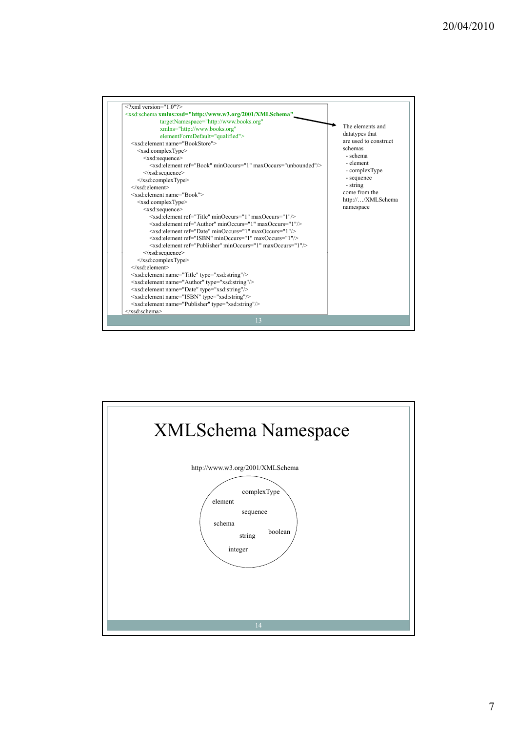

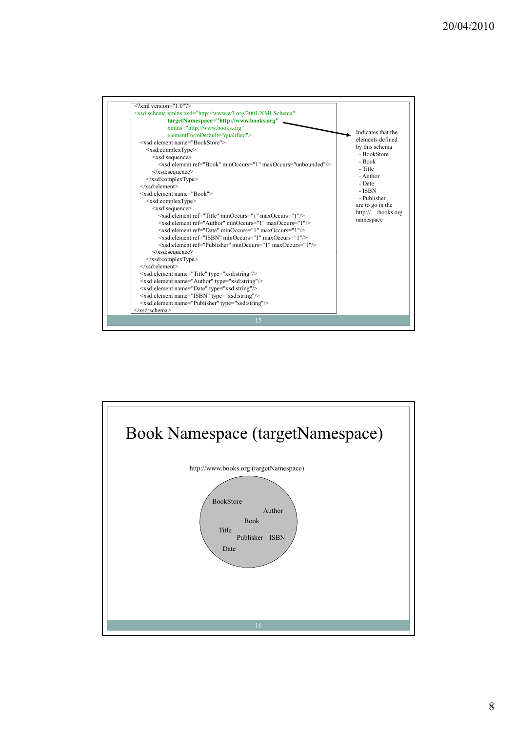

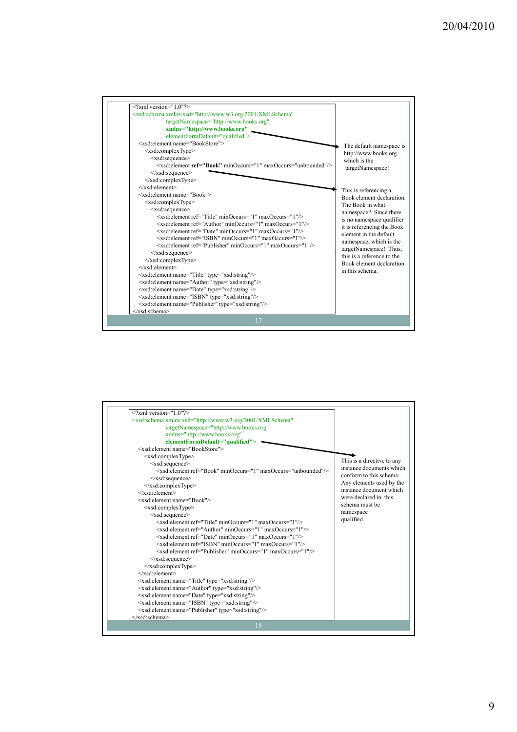

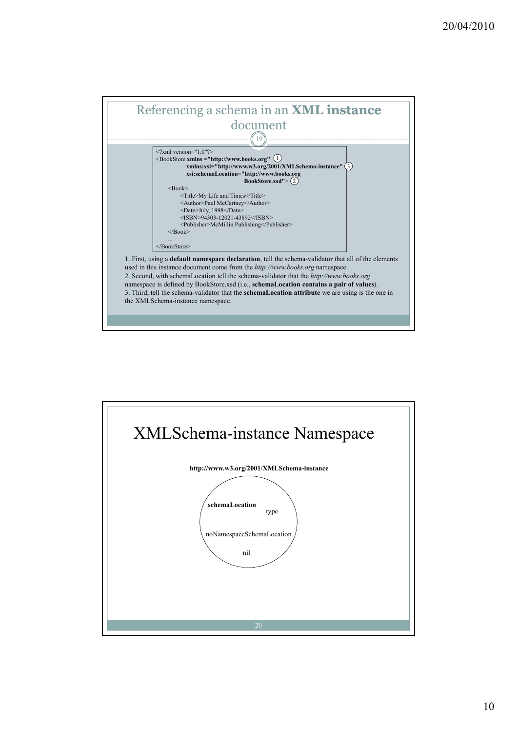

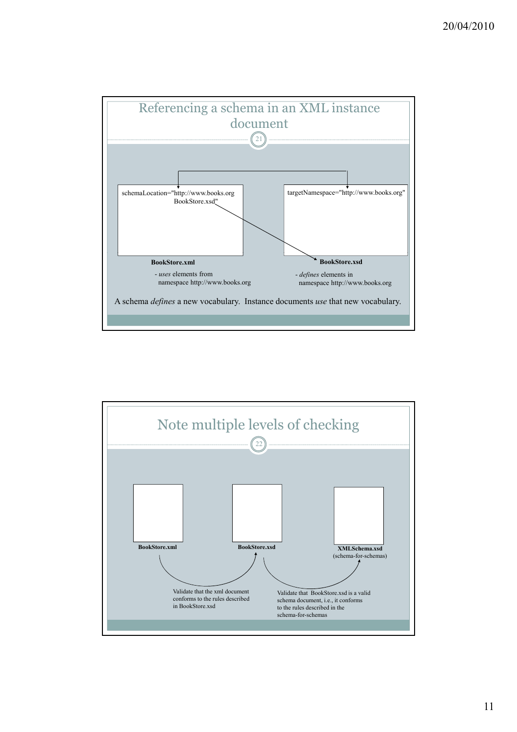

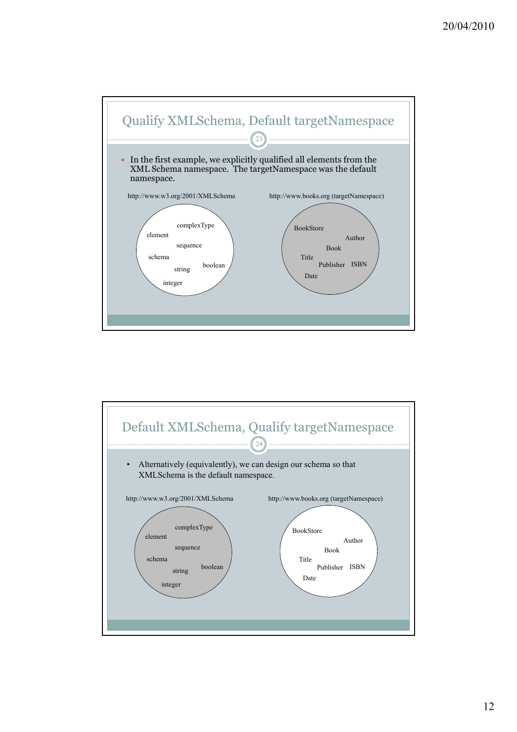

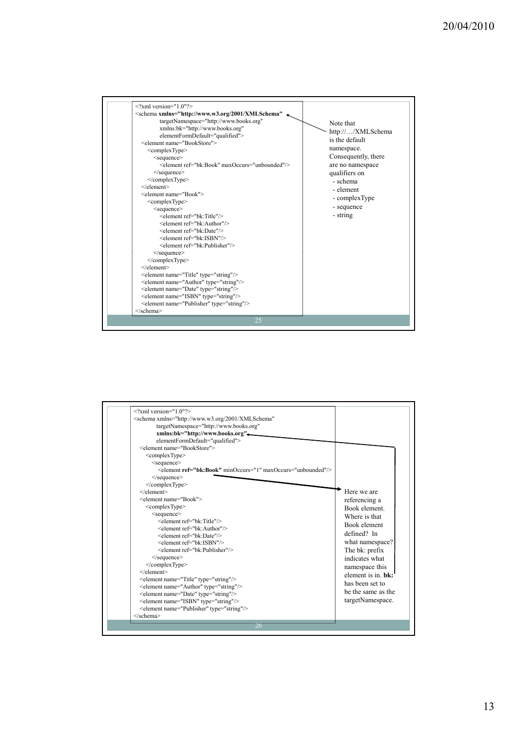

| $\langle 2 \times 2 \rangle$ version="1.0"?><br><schema <br="" xmlns="http://www.w3.org/2001/XMLSchema">targetNamespace="http://www.books.org"<br/>xmlns:bk="http://www.books.org"<br/>elementFormDefault="qualified"&gt;<br/><element name="BookStore"><br/><complextype><br/><math>\leq</math>sequence<math>\geq</math><br/><element maxoccurs="unbounded" minoccurs="1" ref="bk:Book"></element><br/><math>\le</math>/sequence&gt;<br/></complextype><br/><math>&lt;</math>/element<math>&gt;</math><br/><element name="Book"><br/><complextype><br/><sequence><br/><element ref="bk:Title"></element><br/><element ref="bk:Author"></element><br/><element ref="bk:Date"></element><br/><element ref="bk:ISBN"></element><br/><element ref="bk:Publisher"></element><br/><math>\le</math>/sequence&gt;<br/></sequence></complextype><br/><math>&lt;</math>/element<math>&gt;</math><br/><element name="Title" type="string"></element><br/><element name="Author" type="string"></element><br/><element name="Date" type="string"></element><br/><element name="ISBN" type="string"></element><br/><element name="Publisher" type="string"></element><br/></element></element></schema><br>26 | Here we are<br>referencing a<br>Book element<br>Where is that<br>Book element<br>defined? In<br>what namespace?<br>The bk: prefix<br>indicates what<br>namespace this<br>element is in <b>hk</b> :<br>has been set to<br>be the same as the<br>targetNamespace. |
|---------------------------------------------------------------------------------------------------------------------------------------------------------------------------------------------------------------------------------------------------------------------------------------------------------------------------------------------------------------------------------------------------------------------------------------------------------------------------------------------------------------------------------------------------------------------------------------------------------------------------------------------------------------------------------------------------------------------------------------------------------------------------------------------------------------------------------------------------------------------------------------------------------------------------------------------------------------------------------------------------------------------------------------------------------------------------------------------------------------------------------------------------------------------------------------------------|-----------------------------------------------------------------------------------------------------------------------------------------------------------------------------------------------------------------------------------------------------------------|
|---------------------------------------------------------------------------------------------------------------------------------------------------------------------------------------------------------------------------------------------------------------------------------------------------------------------------------------------------------------------------------------------------------------------------------------------------------------------------------------------------------------------------------------------------------------------------------------------------------------------------------------------------------------------------------------------------------------------------------------------------------------------------------------------------------------------------------------------------------------------------------------------------------------------------------------------------------------------------------------------------------------------------------------------------------------------------------------------------------------------------------------------------------------------------------------------------|-----------------------------------------------------------------------------------------------------------------------------------------------------------------------------------------------------------------------------------------------------------------|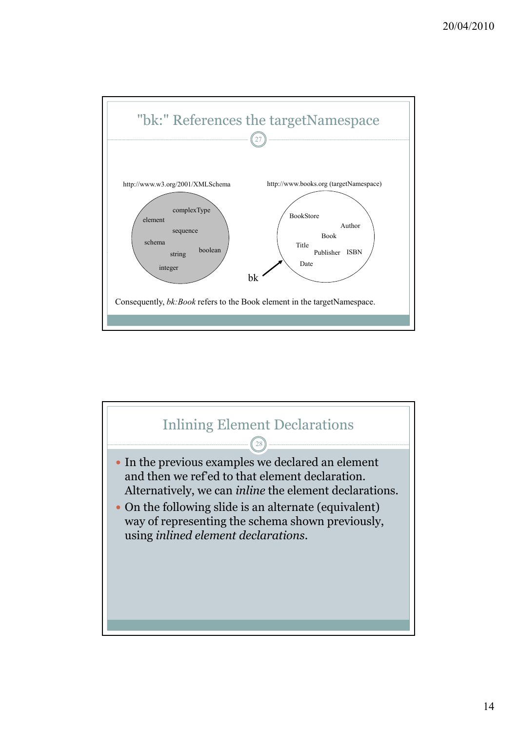

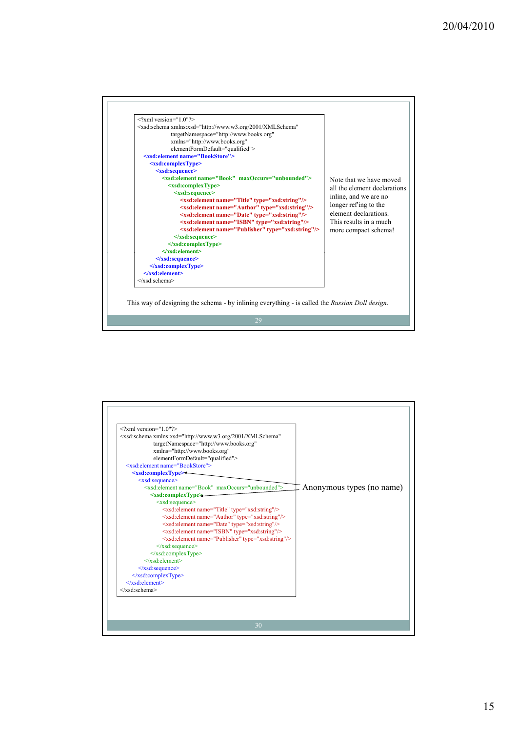

| $\langle 2 \rangle$ xml version="1.0"?>                                                    |                           |
|--------------------------------------------------------------------------------------------|---------------------------|
| <xsd:schema <="" td="" xmlns:xsd="http://www.w3.org/2001/XMLSchema"><td></td></xsd:schema> |                           |
| targetNamespace="http://www.books.org"                                                     |                           |
| xmlns="http://www.books.org"                                                               |                           |
| elementFormDefault="qualified">                                                            |                           |
| <xsd:element name="BookStore"></xsd:element>                                               |                           |
| <xsd:complextype>+</xsd:complextype>                                                       |                           |
| $\leq$ xsd:sequence>                                                                       |                           |
| $\leq$ xsd: element name="Book" maxOccurs="unbounded">                                     | Anonymous types (no name) |
| $\leq$ xsd:complexType $\geq$                                                              |                           |
| $\leq$ xsd:sequence>                                                                       |                           |
| <xsd:element name="Title" type="xsd:string"></xsd:element>                                 |                           |
| <xsd:element name="Author" type="xsd:string"></xsd:element>                                |                           |
| <xsd:element name="Date" type="xsd:string"></xsd:element>                                  |                           |
| <xsd:element name="ISBN" type="xsd:string"></xsd:element>                                  |                           |
| <xsd:element name="Publisher" type="xsd:string"></xsd:element>                             |                           |
| $\le$ /xsd:sequence>                                                                       |                           |
| $\le$ /xsd:complexType>                                                                    |                           |
| $\langle x s d \rangle$ : element                                                          |                           |
| $\le$ /xsd:sequence>                                                                       |                           |
| $\le$ /xsd:complexType>                                                                    |                           |
| $\langle x\mathrm{sd}\rangle$ element $>$                                                  |                           |
| $\langle x s d : \text{scheme} \rangle$                                                    |                           |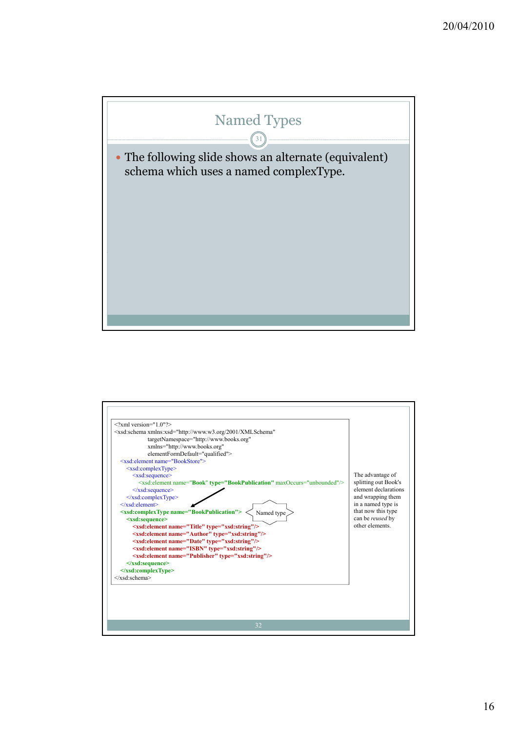

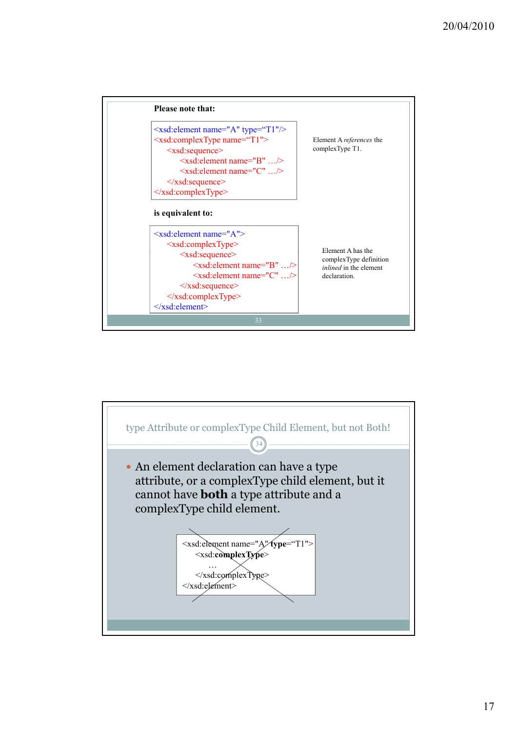

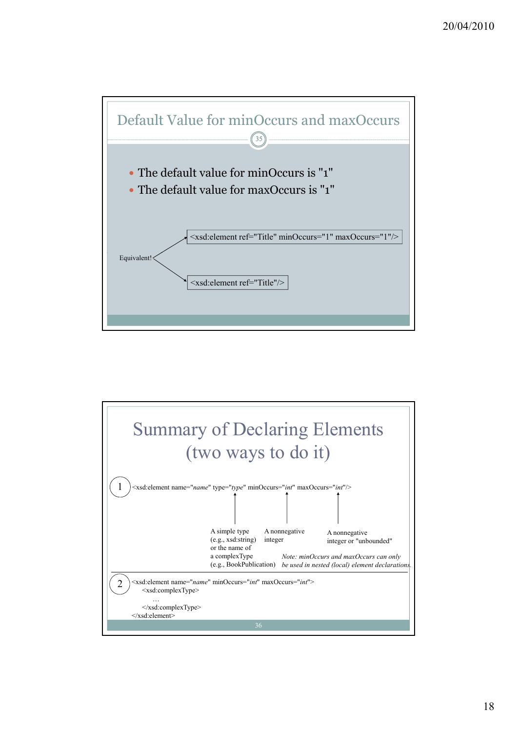

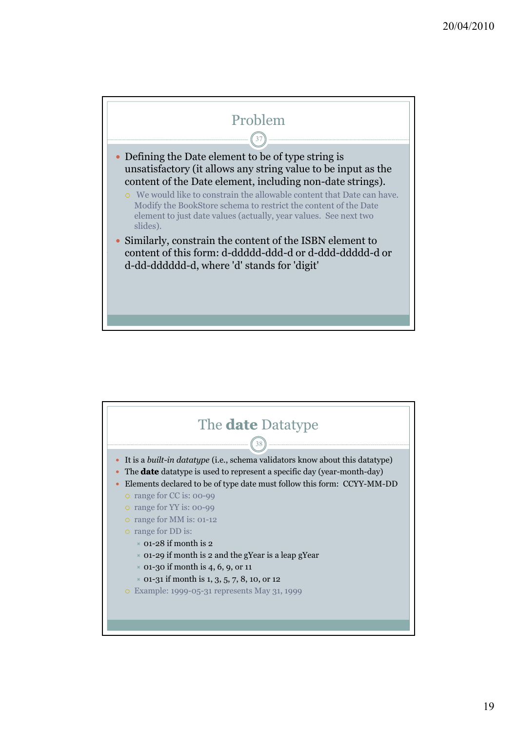

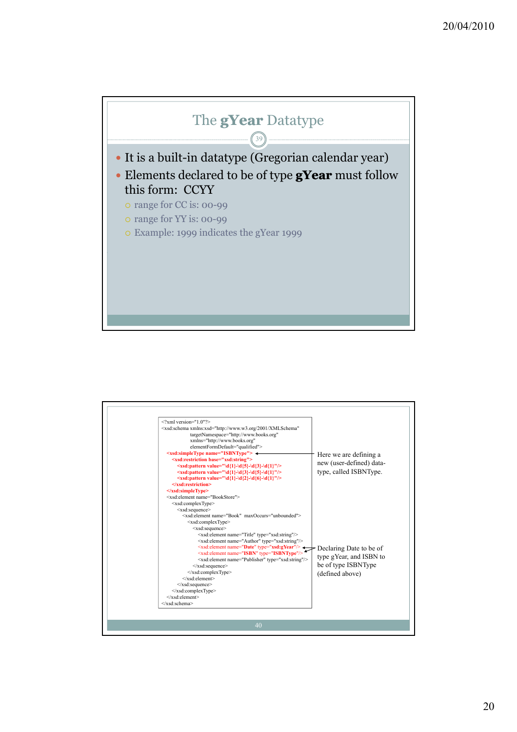

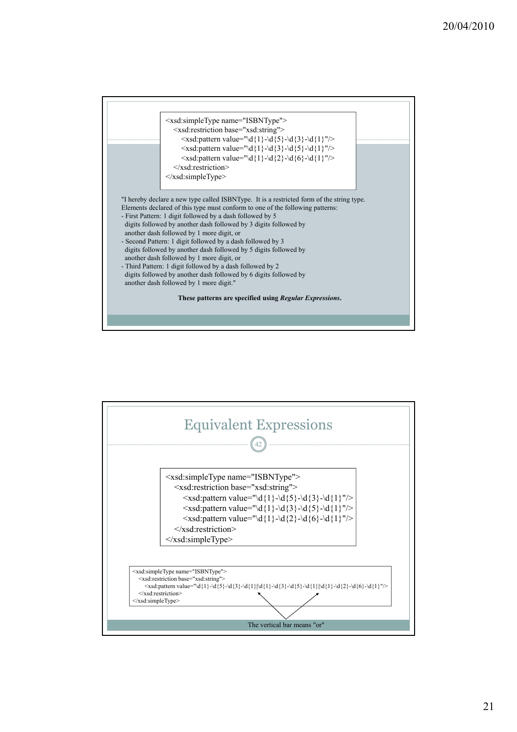

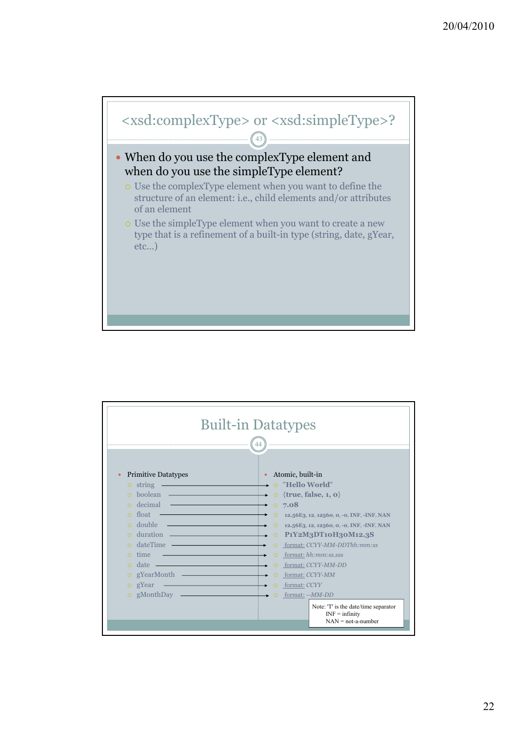

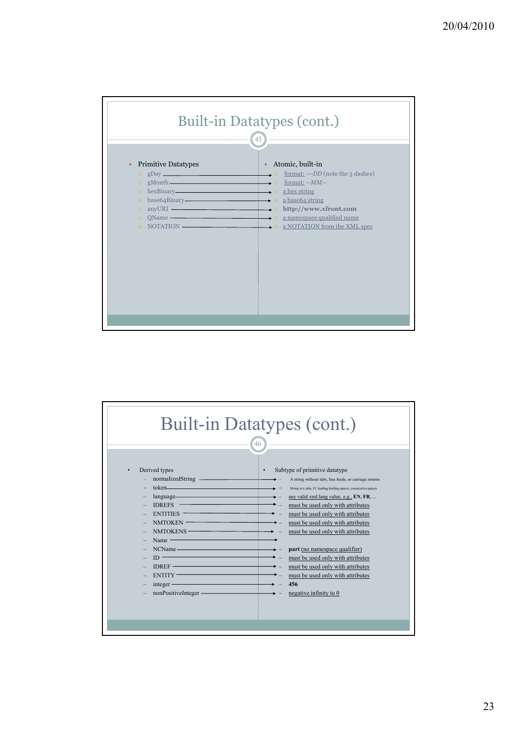

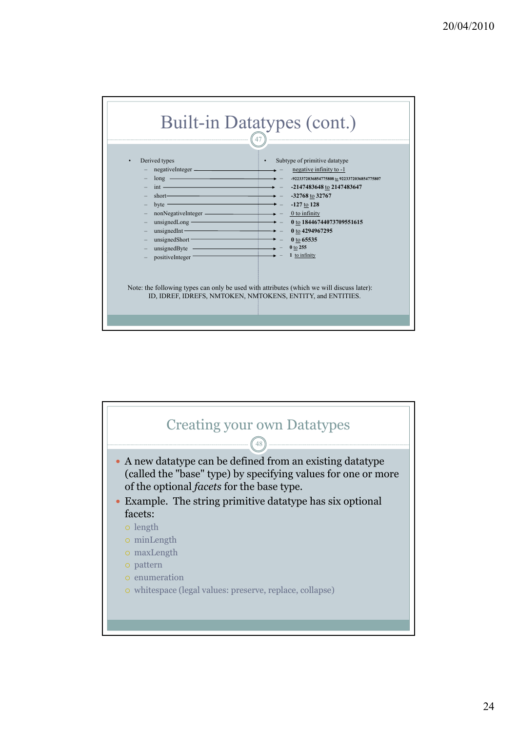

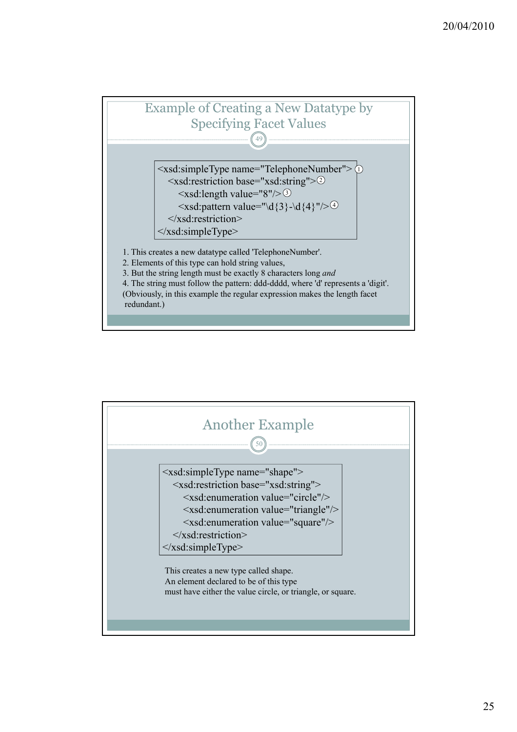

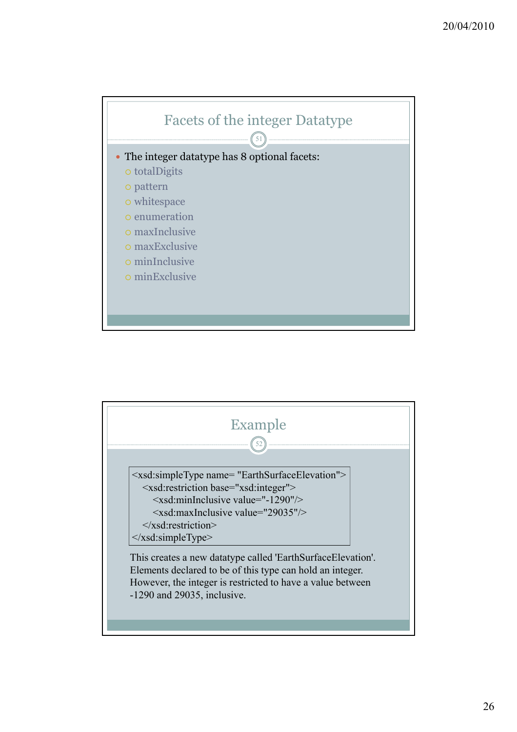

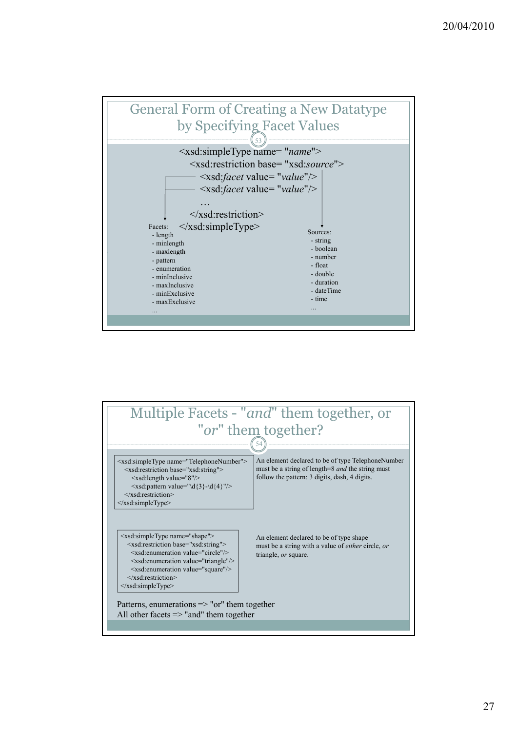

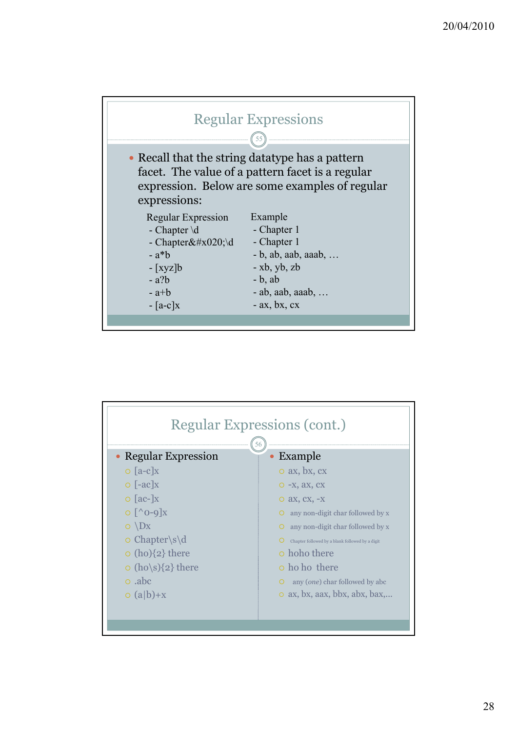

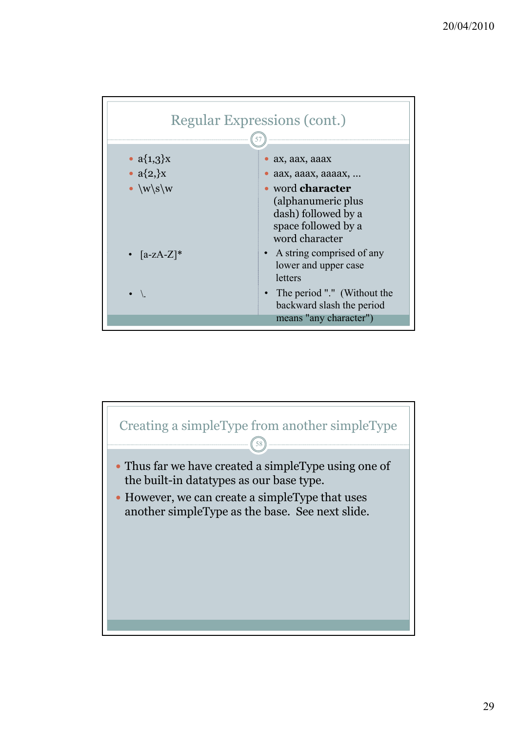

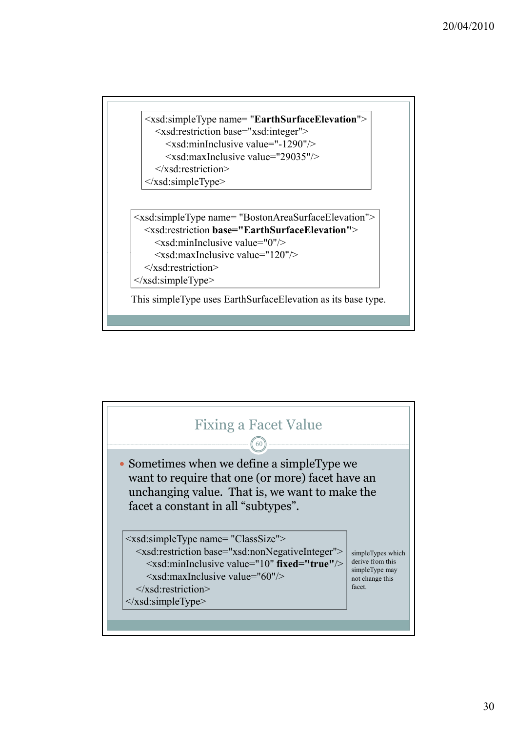```
<xsd:simpleType name= "EarthSurfaceElevation">
  <xsd:restriction base="xsd:integer">
     <xsd:minInclusive value="-1290"/>
     <xsd:maxInclusive value="29035"/>
  \langle x\sd:restriction\rangle\langle x\text{sd}:\text{simpleType}\rangle
```

```
<xsd:simpleType name= "BostonAreaSurfaceElevation">
  <xsd:restriction base="EarthSurfaceElevation">
```

```
\leqxsd:minInclusive value="0"/>
```

```
<xsd:maxInclusive value="120"/><br>
</xsd:restriction>
```

```
\le/xsd:simpleType>
```
This simpleType uses EarthSurfaceElevation as its base type.

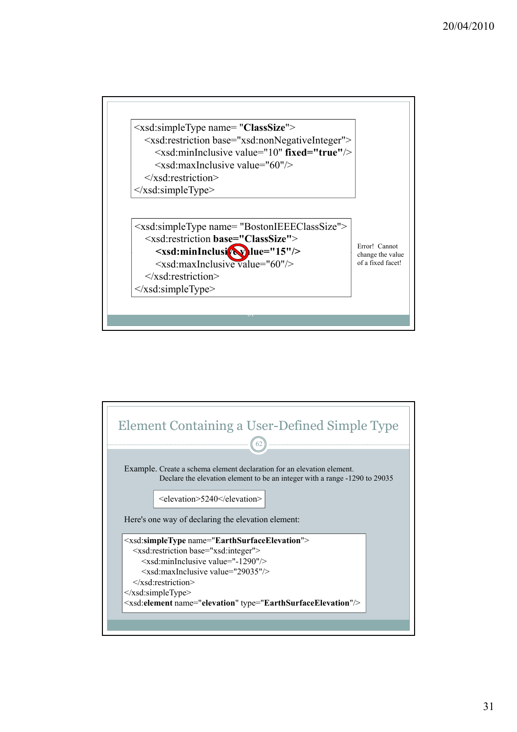

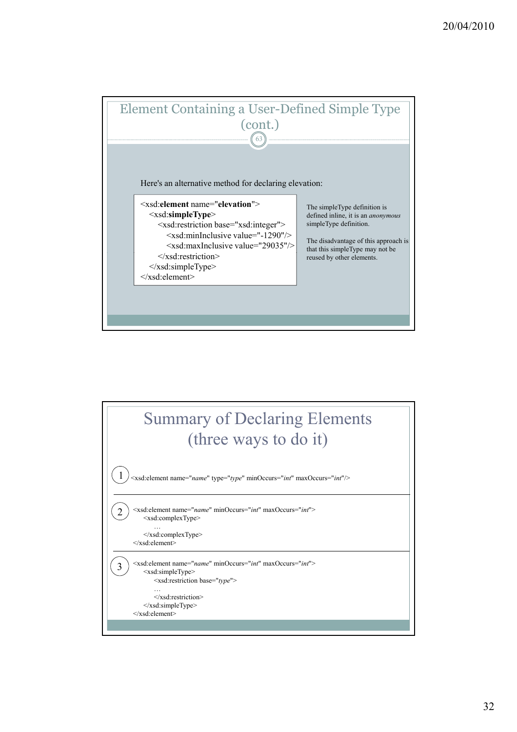

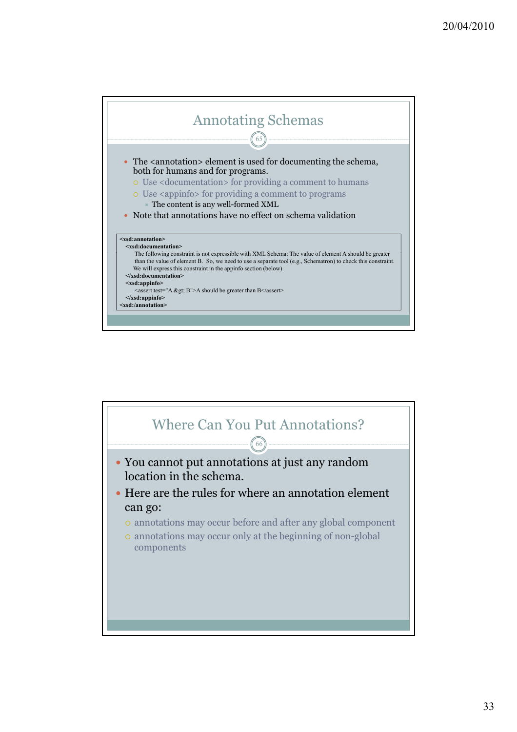

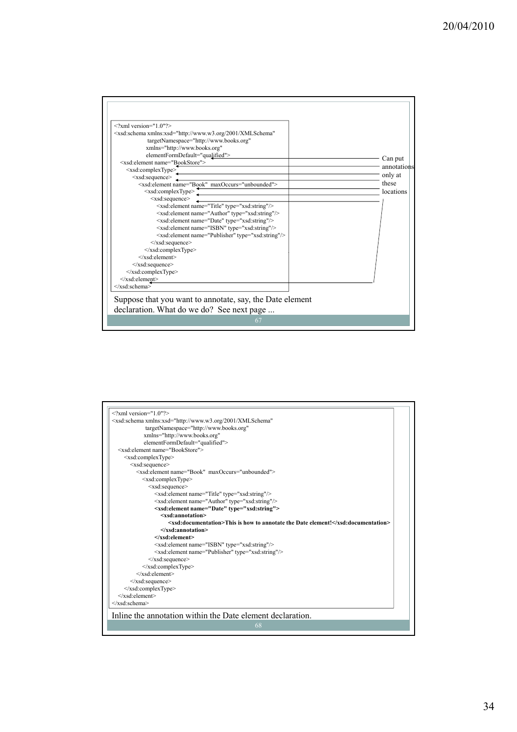| $\langle 2 \times 2 \times 1 \rangle$ version="1.0"?><br><xsd:schema <="" th="" xmlns:xsd="http://www.w3.org/2001/XMLSchema"><th></th></xsd:schema> |             |
|-----------------------------------------------------------------------------------------------------------------------------------------------------|-------------|
| targetNamespace="http://www.books.org"                                                                                                              |             |
| xmlns="http://www.books.org"                                                                                                                        |             |
| elementFormDefault="qualified">                                                                                                                     | Can put     |
| <xsd:element name="BookStore"></xsd:element>                                                                                                        | annotations |
| <xsd:complextype></xsd:complextype>                                                                                                                 |             |
| <xsd:sequence></xsd:sequence>                                                                                                                       | only at     |
| <xsd:element maxoccurs="unbounded" name="Book"></xsd:element>                                                                                       | these       |
| <xsd:complextype></xsd:complextype>                                                                                                                 | locations   |
| $<$ xsd:sequence $>$                                                                                                                                |             |
| <xsd:element name="Title" type="xsd:string"></xsd:element>                                                                                          |             |
| <xsd:element name="Author" type="xsd:string"></xsd:element>                                                                                         |             |
| <xsd:element name="Date" type="xsd:string"></xsd:element>                                                                                           |             |
| <xsd:element name="ISBN" type="xsd:string"></xsd:element>                                                                                           |             |
| <xsd:element name="Publisher" type="xsd:string"></xsd:element>                                                                                      |             |
| $\le$ /xsd:sequence>                                                                                                                                |             |
| $\le$ /xsd:complexType>                                                                                                                             |             |
| $\langle x s d \cdot element \rangle$                                                                                                               |             |
| $\langle xsd:sequence \rangle$                                                                                                                      |             |
| $\langle xsd:complexType \rangle$                                                                                                                   |             |
| $\le$ /xsd:element>                                                                                                                                 |             |
|                                                                                                                                                     |             |
| Suppose that you want to annotate, say, the Date element                                                                                            |             |
| declaration. What do we do? See next page                                                                                                           |             |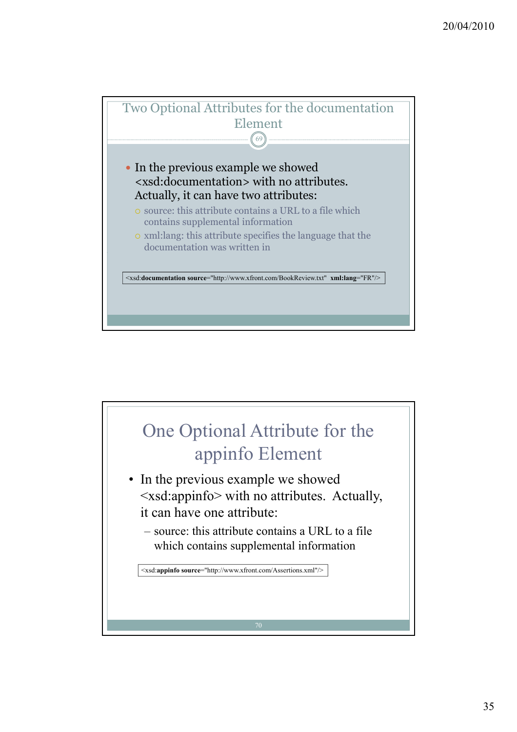

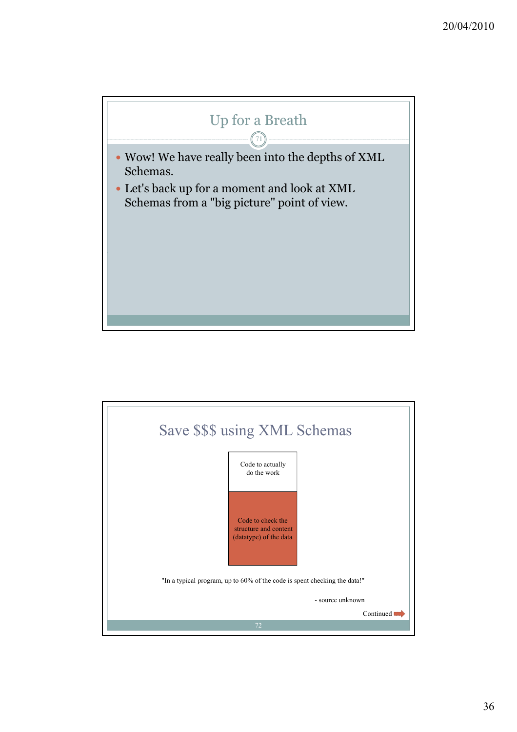

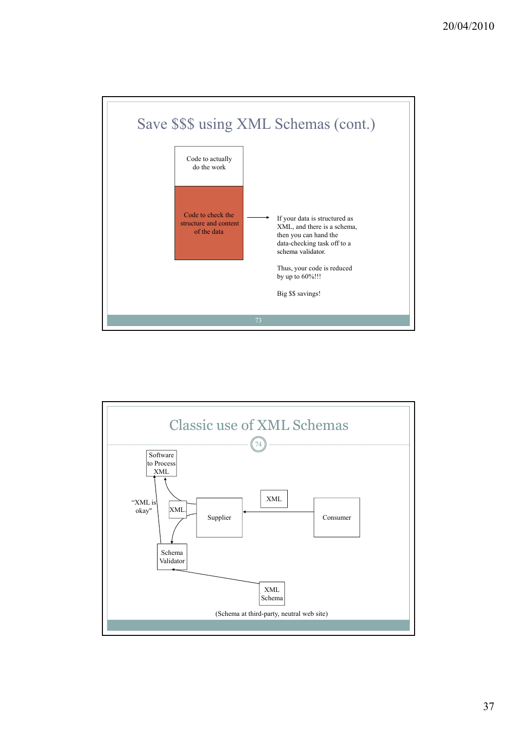

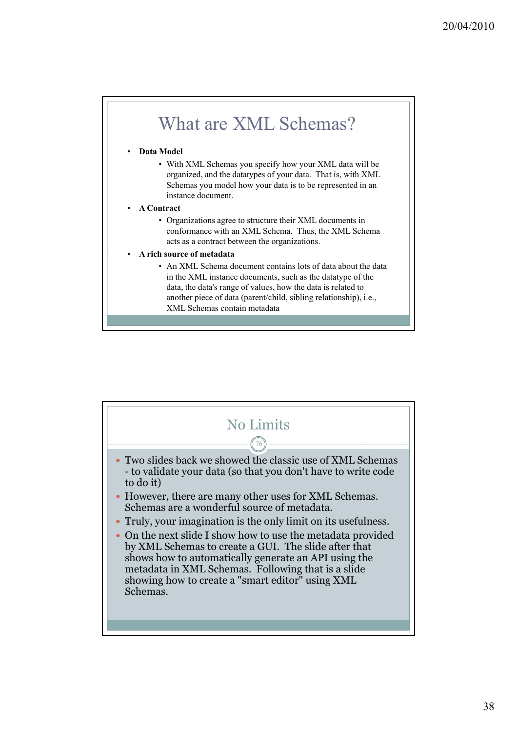

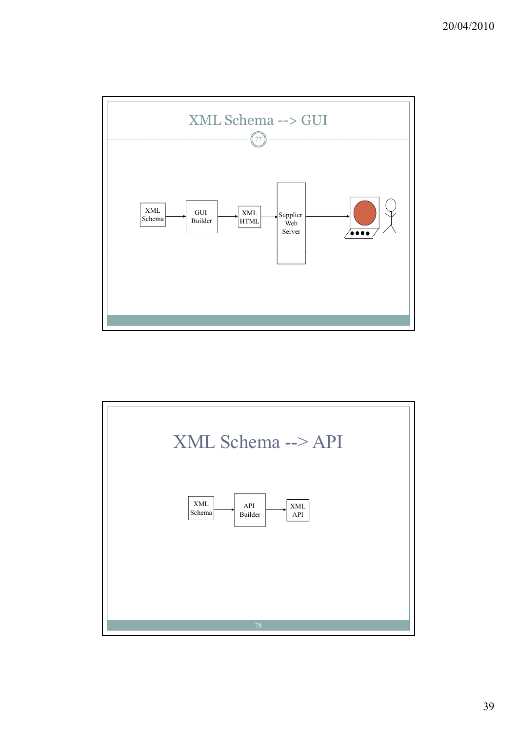

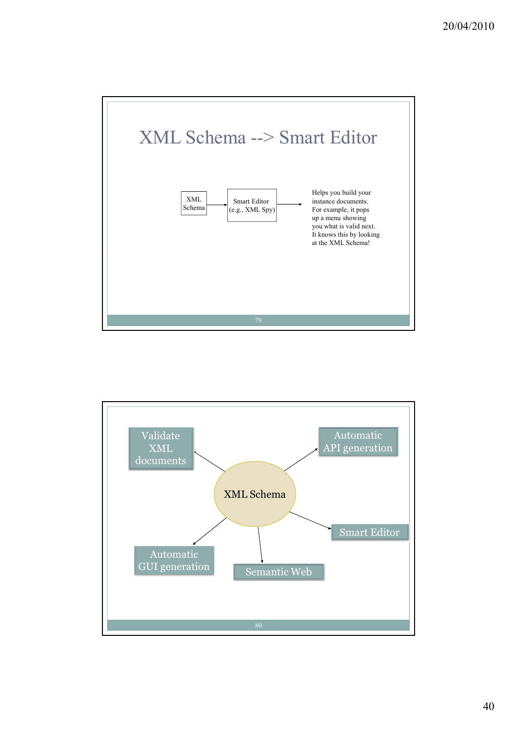

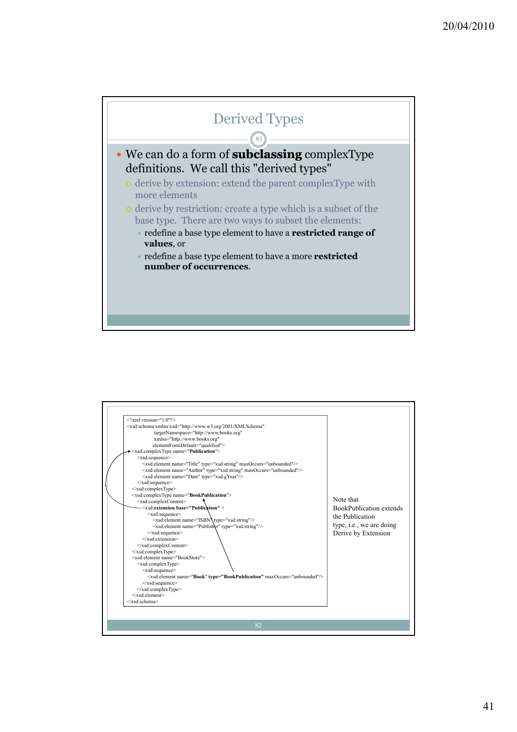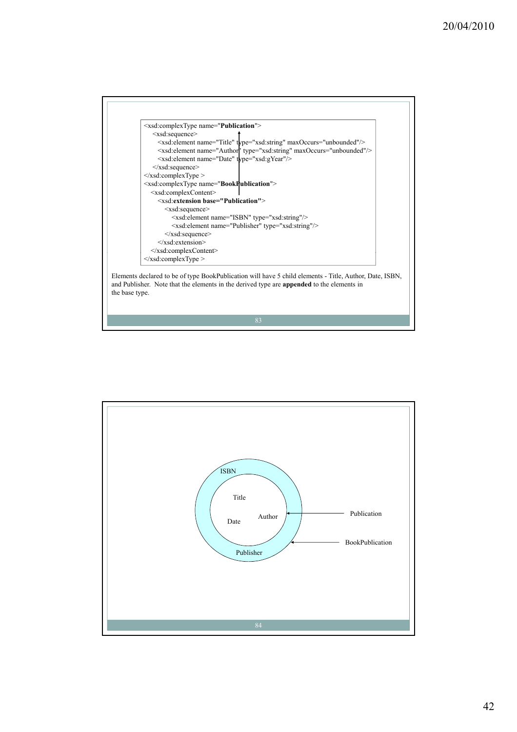

Elements declared to be of type BookPublication will have 5 child elements - Title, Author, Date, ISBN, and Publisher. Note that the elements in the derived type are **appended** to the elements in the base type.

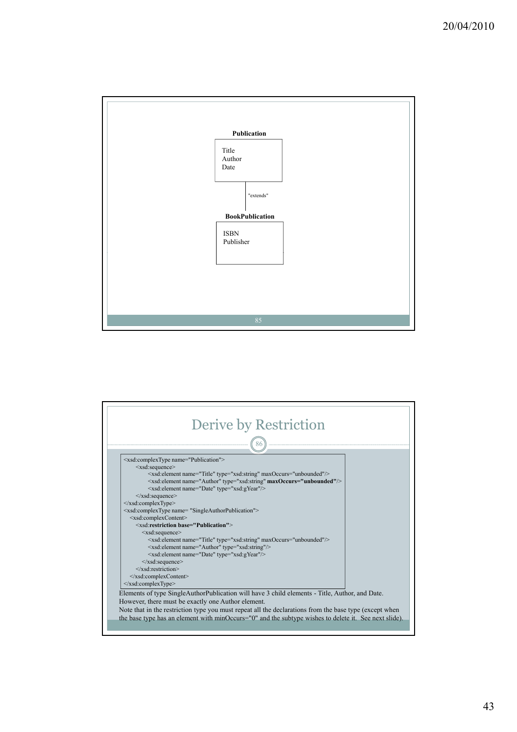

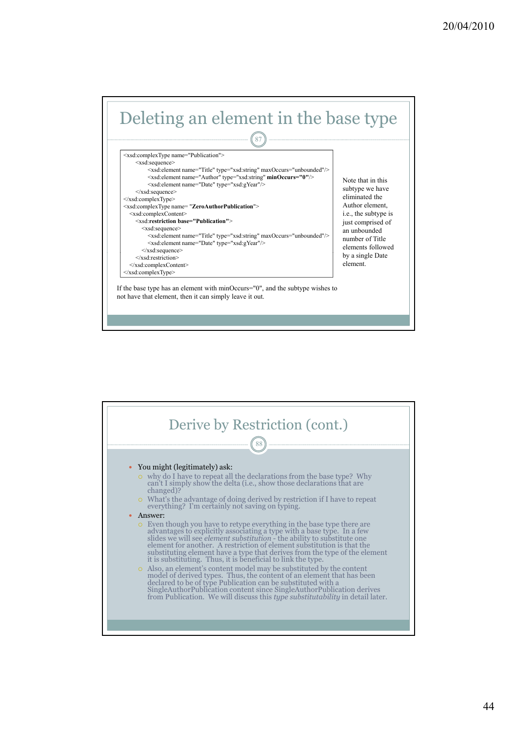

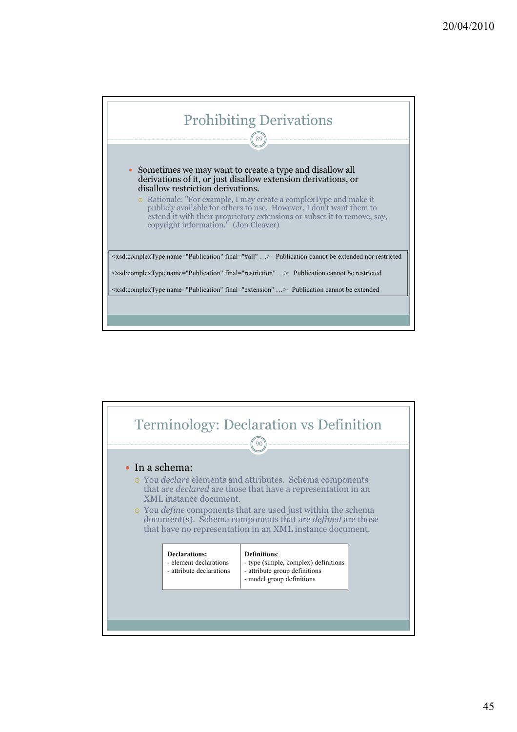

![](_page_44_Figure_1.jpeg)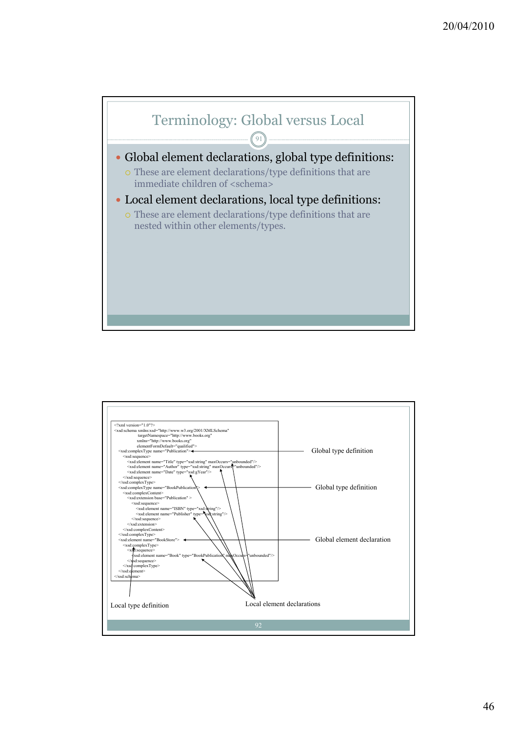![](_page_45_Figure_0.jpeg)

![](_page_45_Figure_1.jpeg)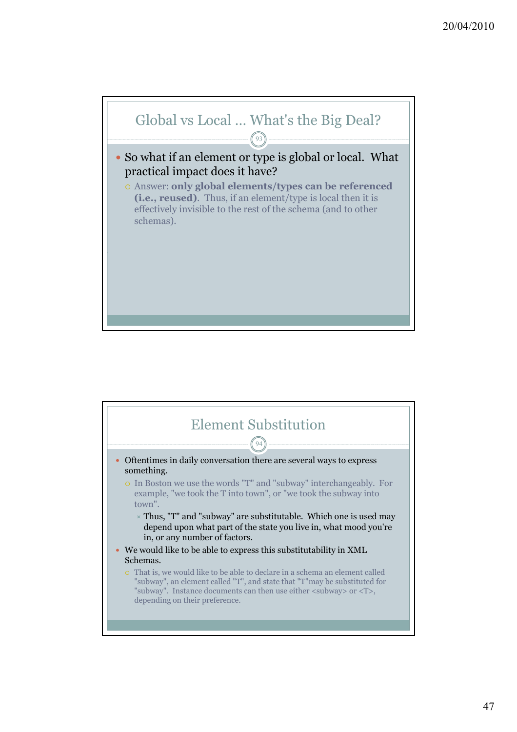![](_page_46_Figure_0.jpeg)

![](_page_46_Figure_1.jpeg)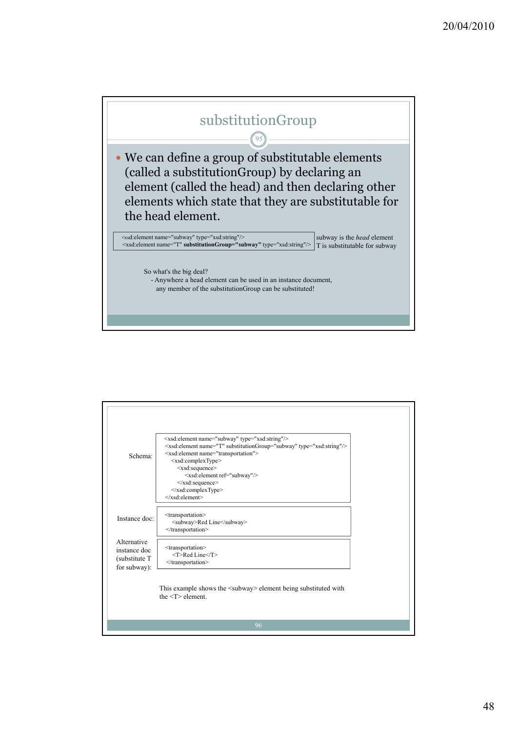![](_page_47_Figure_0.jpeg)

| Schema:                                                      | <xsd:element name="subway" type="xsd:string"></xsd:element><br><xsd:element name="T" substitutiongroup="subway" type="xsd:string"></xsd:element><br><xsd:element name="transportation"><br/><xsd:complextype><br/><xsd:sequence><br/><xsd:element ref="subway"></xsd:element><br/><math>\langle xsd:sequence \rangle</math><br/></xsd:sequence></xsd:complextype><br/><math>\langle x s d \rangle</math>:element&gt;</xsd:element> |  |
|--------------------------------------------------------------|------------------------------------------------------------------------------------------------------------------------------------------------------------------------------------------------------------------------------------------------------------------------------------------------------------------------------------------------------------------------------------------------------------------------------------|--|
| Instance doc:                                                | <transportation><br/><subway>Red Line</subway><br/></transportation>                                                                                                                                                                                                                                                                                                                                                               |  |
| Alternative<br>instance doc<br>(substitute T<br>for subway): | <transportation><br/><t>Red Line</t><br/></transportation>                                                                                                                                                                                                                                                                                                                                                                         |  |
|                                                              | This example shows the <subway> element being substituted with<br/>the <math>&lt;\mathsf{T}&gt;</math> element</subway>                                                                                                                                                                                                                                                                                                            |  |
|                                                              | 96                                                                                                                                                                                                                                                                                                                                                                                                                                 |  |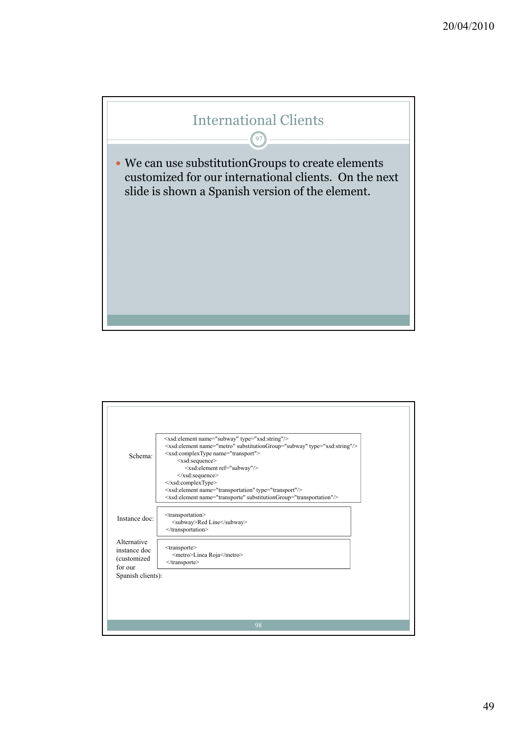![](_page_48_Figure_0.jpeg)

| Schema:                                                | <xsd:element name="subway" type="xsd:string"></xsd:element><br><xsd:element name="metro" substitutiongroup="subway" type="xsd:string"></xsd:element><br><xsd:complextype name="transport"><br/><xsd:sequence><br/><xsd:element ref="subway"></xsd:element><br/><math>\langle xsd:sequence \rangle</math><br/></xsd:sequence></xsd:complextype><br><xsd:element name="transportation" type="transport"></xsd:element><br><xsd:element name="transporte" substitutiongroup="transportation"></xsd:element> |
|--------------------------------------------------------|----------------------------------------------------------------------------------------------------------------------------------------------------------------------------------------------------------------------------------------------------------------------------------------------------------------------------------------------------------------------------------------------------------------------------------------------------------------------------------------------------------|
| Instance doc:                                          | <transportation><br/><subway>Red Line</subway><br/></transportation>                                                                                                                                                                                                                                                                                                                                                                                                                                     |
| Alternative<br>instance doc<br>(customized)<br>for our | <transporte><br/><metro>Linea Roja</metro><br/><math>\le</math>/transporte&gt;</transporte>                                                                                                                                                                                                                                                                                                                                                                                                              |
| Spanish clients):                                      |                                                                                                                                                                                                                                                                                                                                                                                                                                                                                                          |
|                                                        | 98                                                                                                                                                                                                                                                                                                                                                                                                                                                                                                       |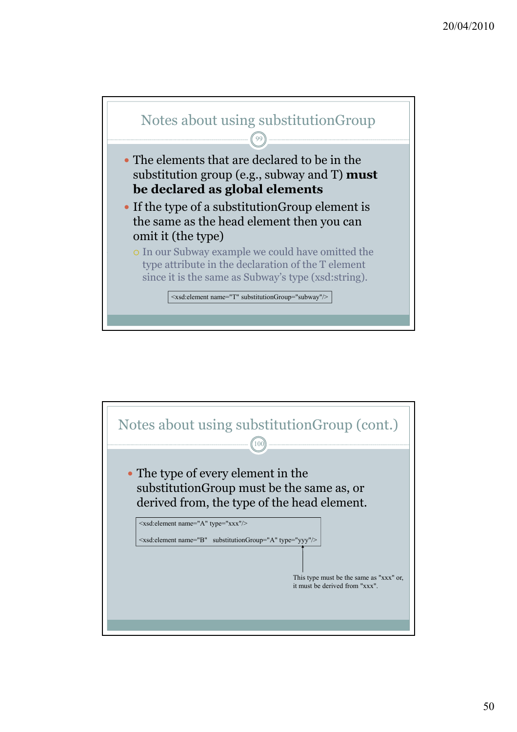![](_page_49_Figure_0.jpeg)

![](_page_49_Figure_1.jpeg)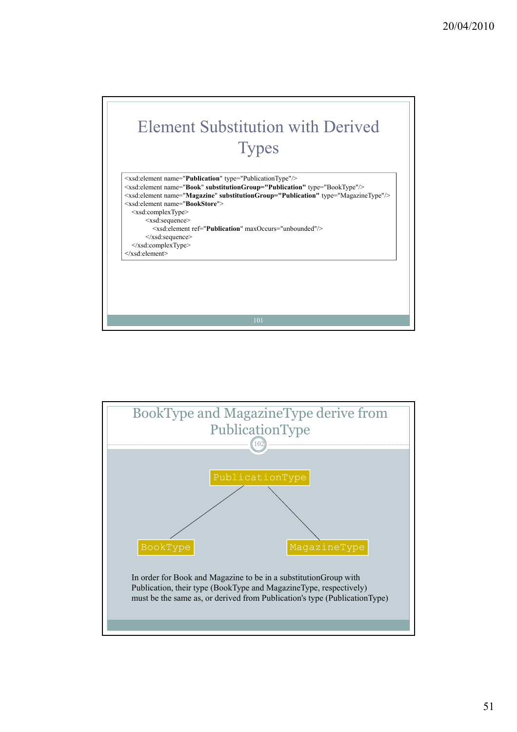![](_page_50_Figure_0.jpeg)

![](_page_50_Figure_1.jpeg)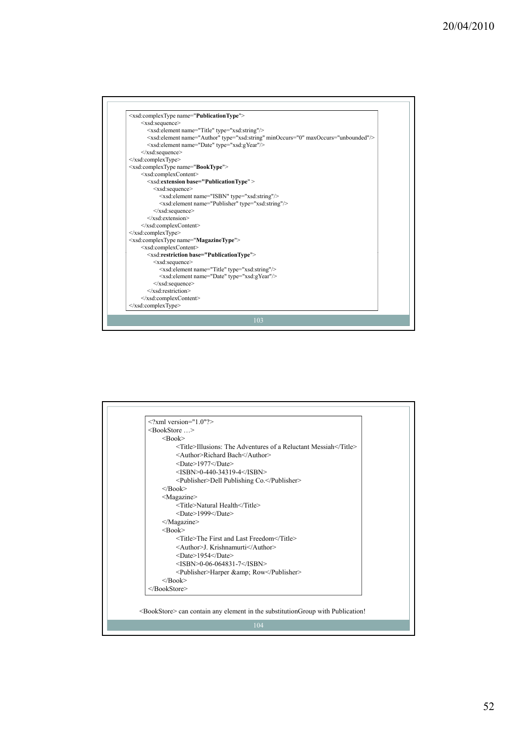![](_page_51_Figure_0.jpeg)

| $\langle$ ?xml version="1.0"?>                                              |
|-----------------------------------------------------------------------------|
| $<$ BookStore >                                                             |
| $\langle$ Rook $\rangle$                                                    |
| $\leq$ Title>Illusions: The Adventures of a Reluctant Messiah $\leq$ Title> |
| <author>Richard Bach</author>                                               |
| $<$ Date $>$ 1977 $<$ /Date $>$                                             |
| $<$ ISBN>0-440-34319-4                                                      |
| <publisher>Dell Publishing Co.</publisher>                                  |
| $<$ /Book>                                                                  |
| <magazine></magazine>                                                       |
| <title>Natural Health</title>                                               |
| $<$ Date $>$ 1999 $<$ /Date $>$                                             |
| $<$ /Magazine>                                                              |
| $<$ Book $>$                                                                |
| <title>The First and Last Freedom</title>                                   |
| <author>J. Krishnamurti</author>                                            |
| $<$ Date $>$ 1954 $<$ /Date $>$                                             |
| $<$ ISBN>0-06-064831-7                                                      |
| <publisher>Harper &amp; Row</publisher>                                     |
| $<$ /Book>                                                                  |
|                                                                             |

<BookStore> can contain any element in the substitutionGroup with Publication!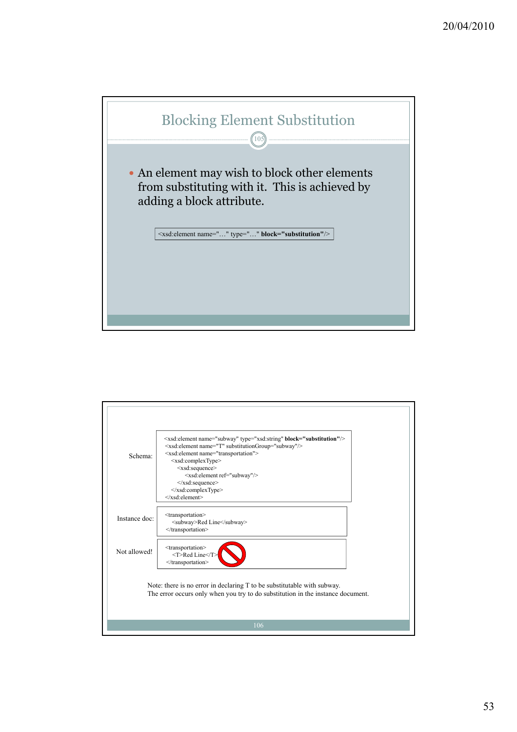![](_page_52_Picture_0.jpeg)

![](_page_52_Figure_1.jpeg)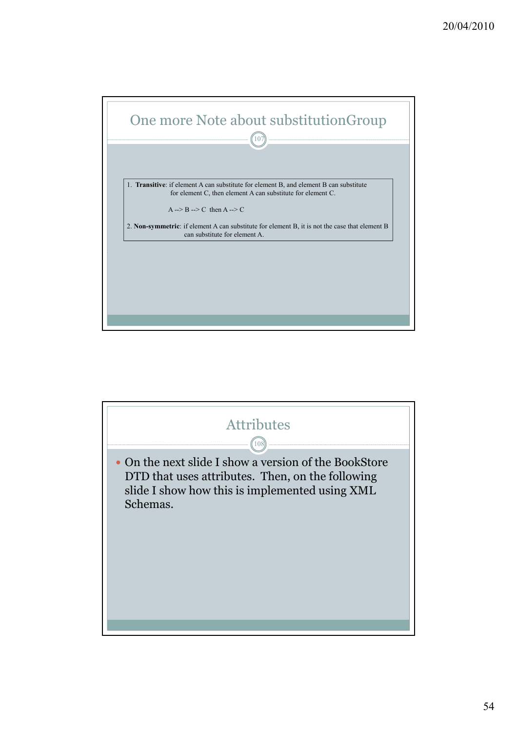![](_page_53_Figure_0.jpeg)

![](_page_53_Figure_1.jpeg)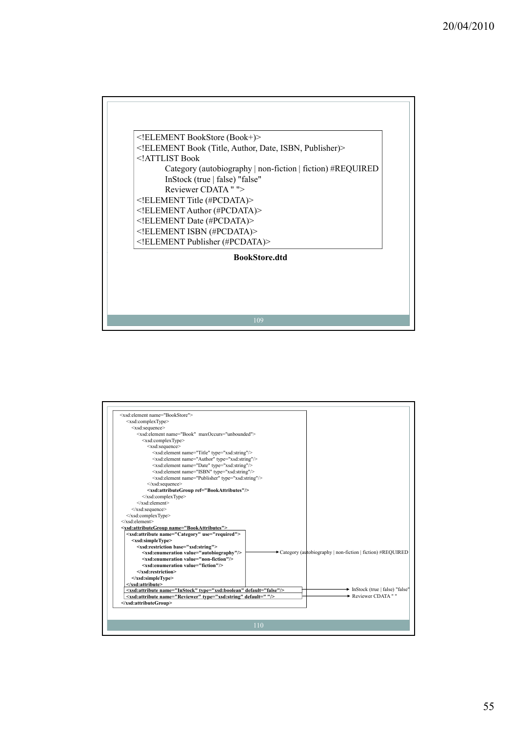![](_page_54_Figure_0.jpeg)

| <xsd:element name="BookStore"></xsd:element>                                      |                                                            |
|-----------------------------------------------------------------------------------|------------------------------------------------------------|
| <xsd:complextype></xsd:complextype>                                               |                                                            |
| <xsd:sequence></xsd:sequence>                                                     |                                                            |
| <xsd:element maxoccurs="unbounded" name="Book"></xsd:element>                     |                                                            |
| <xsd:complextype></xsd:complextype>                                               |                                                            |
| <xsd:sequence></xsd:sequence>                                                     |                                                            |
| <xsd:element name="Title" type="xsd:string"></xsd:element>                        |                                                            |
| <xsd:element name="Author" type="xsd:string"></xsd:element>                       |                                                            |
| <xsd:element name="Date" type="xsd:string"></xsd:element>                         |                                                            |
| <xsd:element name="ISBN" type="xsd:string"></xsd:element>                         |                                                            |
| <xsd:element name="Publisher" type="xsd:string"></xsd:element>                    |                                                            |
| $\le$ /xsd:sequence>                                                              |                                                            |
| <xsd:attributegroup ref="BookAttributes"></xsd:attributegroup>                    |                                                            |
| $\langle xsd:complexType \rangle$                                                 |                                                            |
| $\langle x s d \cdot element \rangle$                                             |                                                            |
| $\langle xsd:sequence \rangle$                                                    |                                                            |
| $\langle xsd:complexType \rangle$                                                 |                                                            |
| $\langle x s d \cdot element \rangle$                                             |                                                            |
| <xsd:attributegroup name="BookAttributes"></xsd:attributegroup>                   |                                                            |
| <xsd:attribute name="Category" use="required"></xsd:attribute>                    |                                                            |
| <xsd:simpletype></xsd:simpletype>                                                 |                                                            |
| <xsd:restriction base="xsd:string"></xsd:restriction>                             |                                                            |
| <xsd:enumeration value="autobiography"></xsd:enumeration>                         | Category (autobiography   non-fiction   fiction) #REQUIRED |
| <xsd:enumeration value="non-fiction"></xsd:enumeration>                           |                                                            |
| <xsd:enumeration value="fiction"></xsd:enumeration>                               |                                                            |
| $\le$ /xsd:restriction>                                                           |                                                            |
| $\le$ /xsd:simpleType>                                                            |                                                            |
| $\le$ /xsd:attribute>                                                             |                                                            |
| <xsd:attribute default="false" name="InStock" type="xsd:boolean"></xsd:attribute> | lack (true   false) "false"                                |
| <xsd:attribute default=" " name="Reviewer" type="xsd:string"></xsd:attribute>     | Reviewer CDATA ""                                          |
|                                                                                   |                                                            |
|                                                                                   |                                                            |
|                                                                                   |                                                            |
|                                                                                   | 110                                                        |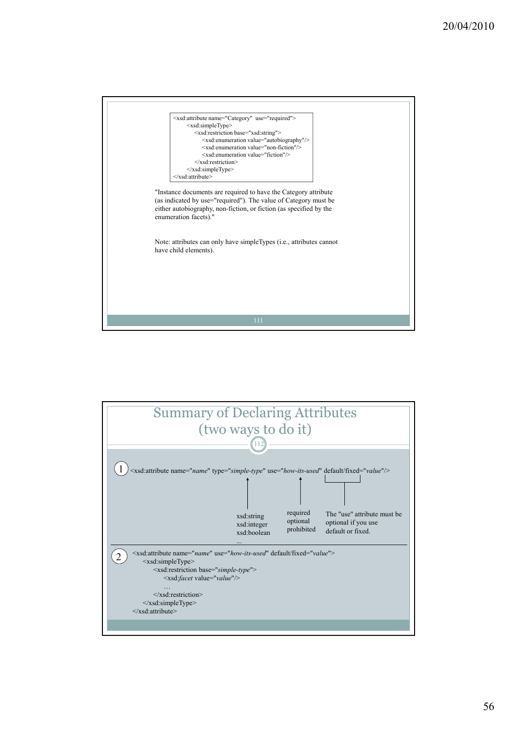![](_page_55_Picture_0.jpeg)

![](_page_55_Figure_1.jpeg)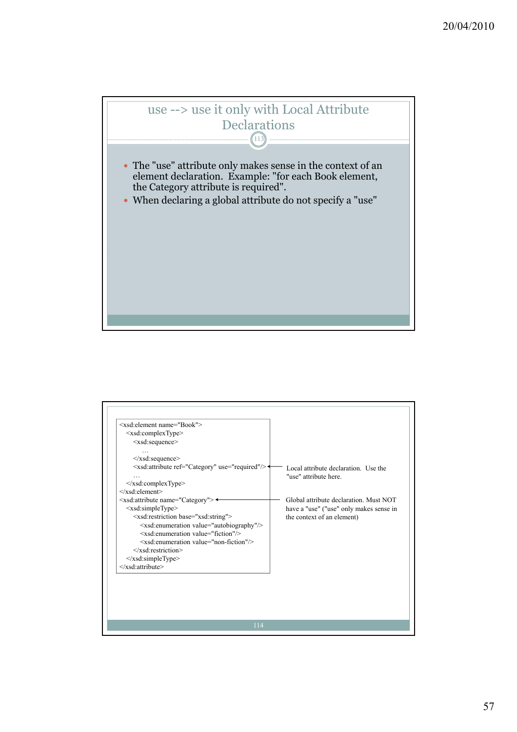![](_page_56_Picture_0.jpeg)

| <xsd:element name="Book"></xsd:element>                       |                                         |
|---------------------------------------------------------------|-----------------------------------------|
| $\leq$ xsd:complexType $>$                                    |                                         |
| <xsd:sequence></xsd:sequence>                                 |                                         |
|                                                               |                                         |
| $\le$ /xsd:sequence>                                          |                                         |
| <xsd:attribute ref="Category" use="required"></xsd:attribute> | Local attribute declaration. Use the    |
|                                                               | "use" attribute here                    |
| $\langle xsd:complexType \rangle$                             |                                         |
| $\langle xsd:$ element $\rangle$                              |                                         |
| <xsd:attribute name="Category"> <sup>←</sup></xsd:attribute>  | Global attribute declaration. Must NOT  |
| <xsd:simpletype></xsd:simpletype>                             | have a "use" ("use" only makes sense in |
| <xsd:restriction base="xsd:string"></xsd:restriction>         | the context of an element)              |
| <xsd:enumeration value="autobiography"></xsd:enumeration>     |                                         |
| $\leq$ xsd: enumeration value="fiction"/>                     |                                         |
| <xsd:enumeration value="non-fiction"></xsd:enumeration>       |                                         |
| $\le$ /xsd:restriction>                                       |                                         |
| $\le$ /xsd:simpleType>                                        |                                         |
|                                                               |                                         |
|                                                               |                                         |
|                                                               |                                         |
|                                                               |                                         |
|                                                               |                                         |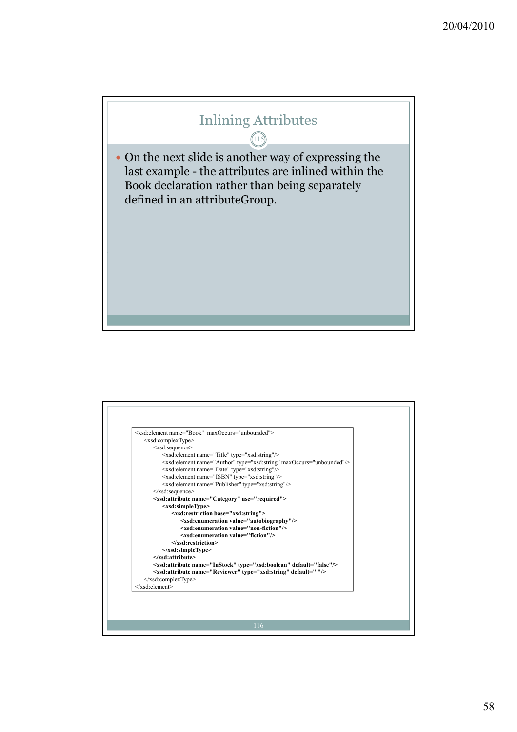## Inlining Attributes

115

 $\bullet$  On the next slide is another way of expressing the last example - the attributes are inlined within the Book declaration rather than being separately defined in an attributeGroup.

![](_page_57_Figure_2.jpeg)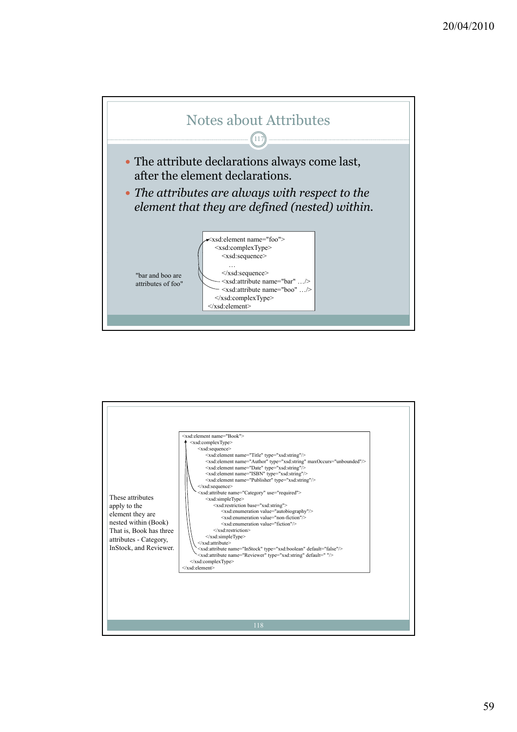![](_page_58_Figure_0.jpeg)

![](_page_58_Figure_1.jpeg)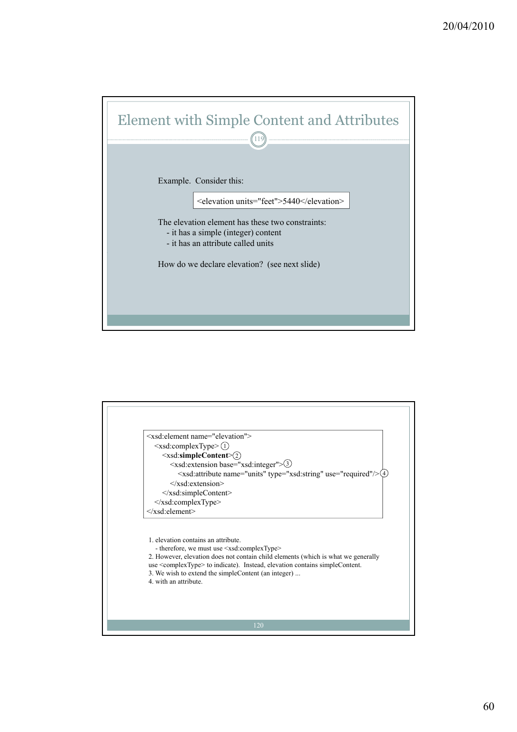![](_page_59_Figure_0.jpeg)

![](_page_59_Figure_1.jpeg)

2. However, elevation does not contain child elements (which is what we generally use <complexType> to indicate). Instead, elevation contains simpleContent. 3. We wish to extend the simpleContent (an integer) ...

4. with an attribute.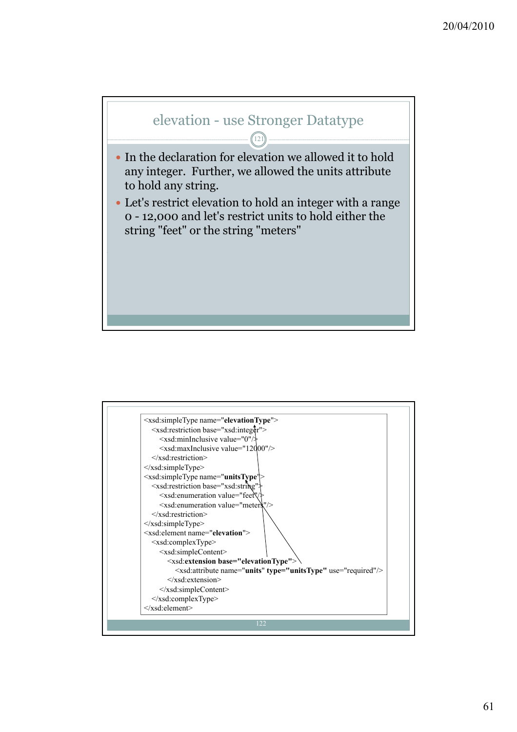![](_page_60_Figure_0.jpeg)

![](_page_60_Figure_1.jpeg)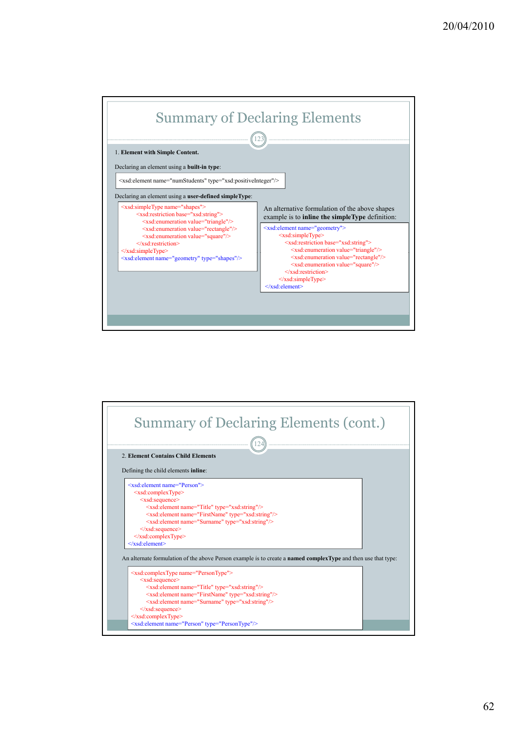![](_page_61_Figure_0.jpeg)

![](_page_61_Figure_1.jpeg)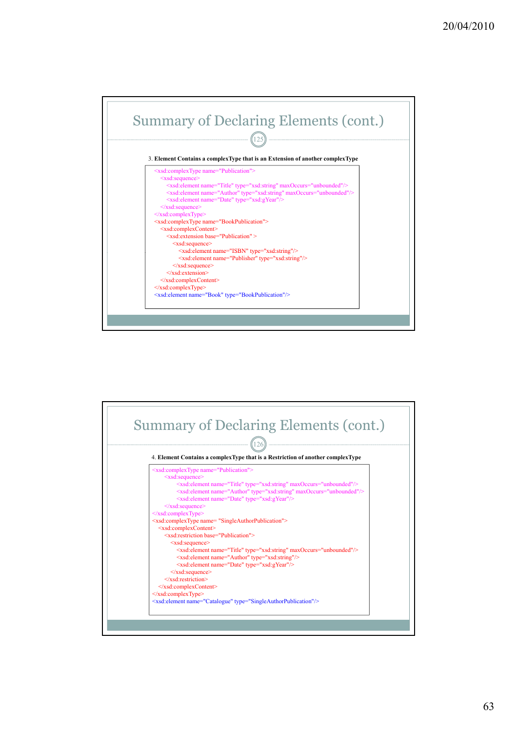![](_page_62_Figure_0.jpeg)

![](_page_62_Figure_1.jpeg)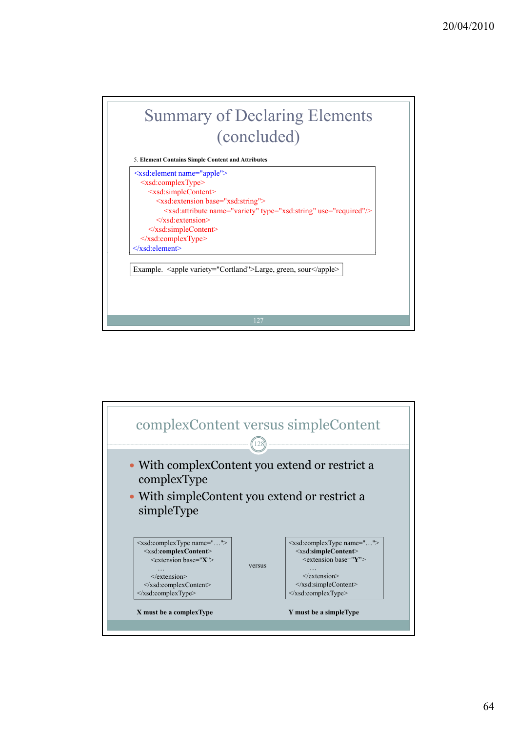![](_page_63_Figure_0.jpeg)

![](_page_63_Figure_1.jpeg)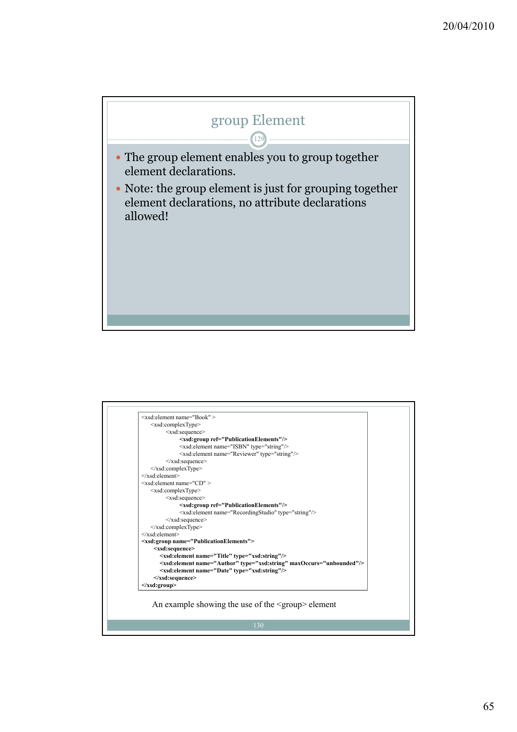![](_page_64_Figure_0.jpeg)

|                                   | $\leq$ xsd: element name="Book" >                                                 |
|-----------------------------------|-----------------------------------------------------------------------------------|
|                                   | $\leq$ xsd:complexType $>$                                                        |
|                                   | <xsd:sequence></xsd:sequence>                                                     |
|                                   | <xsd:group ref="PublicationElements"></xsd:group>                                 |
|                                   | <xsd:element name="ISBN" type="string"></xsd:element>                             |
|                                   | <xsd:element name="Reviewer" type="string"></xsd:element>                         |
|                                   | $\langle xsd:sequence \rangle$                                                    |
|                                   |                                                                                   |
| $\langle x s d \rangle$ :element> |                                                                                   |
|                                   | $\leq$ xsd:element name="CD" >                                                    |
|                                   | <xsd:complextype></xsd:complextype>                                               |
|                                   | <xsd:sequence></xsd:sequence>                                                     |
|                                   | <xsd:group ref="PublicationElements"></xsd:group>                                 |
|                                   | <xsd:element name="RecordingStudio" type="string"></xsd:element>                  |
|                                   | $\le$ /xsd:sequence>                                                              |
|                                   | $\langle xsd:complexType \rangle$                                                 |
| $\langle x s d \rangle$ :element> |                                                                                   |
|                                   | <xsd:group name="PublicationElements"></xsd:group>                                |
|                                   | <xsd:sequence></xsd:sequence>                                                     |
|                                   | <xsd:element name="Title" type="xsd:string"></xsd:element>                        |
|                                   | <xsd:element maxoccurs="unbounded" name="Author" type="xsd:string"></xsd:element> |
|                                   | <xsd:element name="Date" type="xsd:string"></xsd:element>                         |
|                                   | $\le$ /xsd:sequence>                                                              |
| $\langle xsd:group \rangle$       |                                                                                   |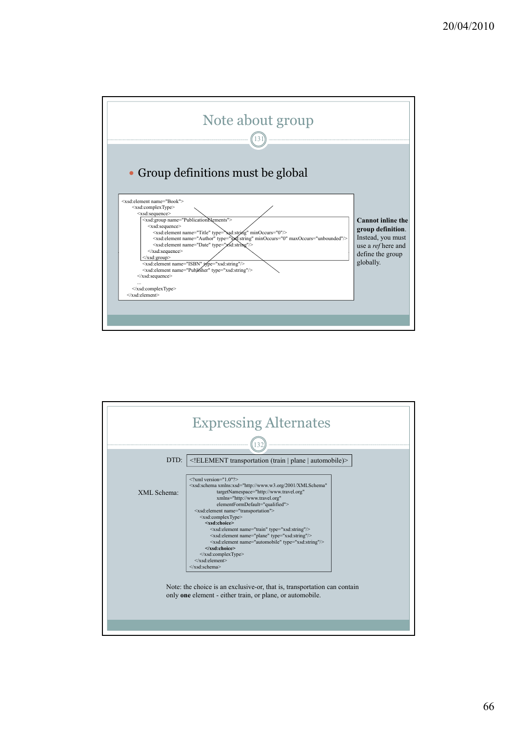![](_page_65_Figure_0.jpeg)

![](_page_65_Figure_1.jpeg)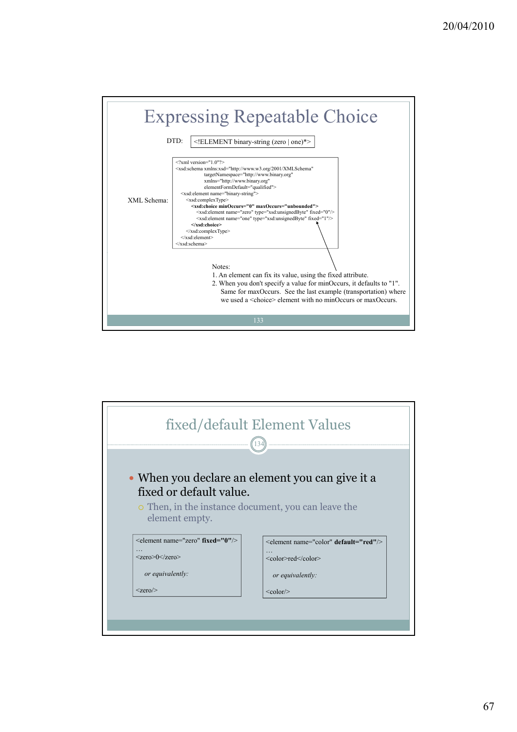|             | <b>Expressing Repeatable Choice</b>                                                                                                                                                                                                                                                                                                                                                                                                                                                                                                                                                                                                                       |
|-------------|-----------------------------------------------------------------------------------------------------------------------------------------------------------------------------------------------------------------------------------------------------------------------------------------------------------------------------------------------------------------------------------------------------------------------------------------------------------------------------------------------------------------------------------------------------------------------------------------------------------------------------------------------------------|
|             | $DTD^*$<br>ELEMENT binary-string (zero   one)*                                                                                                                                                                                                                                                                                                                                                                                                                                                                                                                                                                                                            |
| XML Schema: | $\langle$ ?xml version="1 0"?><br><xsd:schema <br="" xmlns:xsd="http://www.w3.org/2001/XMLSchema">targetNamespace="http://www.binary.org"<br/>xmlns="http://www.binary.org"<br/>elementFormDefault="qualified"&gt;<br/><xsd:element name="binary-string"><br/><xsd:complextype><br/><xsd:choice maxoccurs="unbounded" minoccurs="0"><br/><xsd:element fixed="0" name="zero" type="xsd:unsignedByte"></xsd:element><br/><xsd:element fixed="1" name="one" type="xsd:unsignedByte"></xsd:element><br/></xsd:choice><br/><math>\langle xsd:complexType \rangle</math><br/><math>\le</math>/xsd:element&gt;<br/></xsd:complextype></xsd:element></xsd:schema> |
|             | Notes:<br>1. An element can fix its value, using the fixed attribute.<br>2. When you don't specify a value for minOccurs, it defaults to "1".<br>Same for maxOccurs. See the last example (transportation) where<br>we used a $\le$ choice> element with no minOccurs or maxOccurs.                                                                                                                                                                                                                                                                                                                                                                       |
|             | 133                                                                                                                                                                                                                                                                                                                                                                                                                                                                                                                                                                                                                                                       |

![](_page_66_Figure_1.jpeg)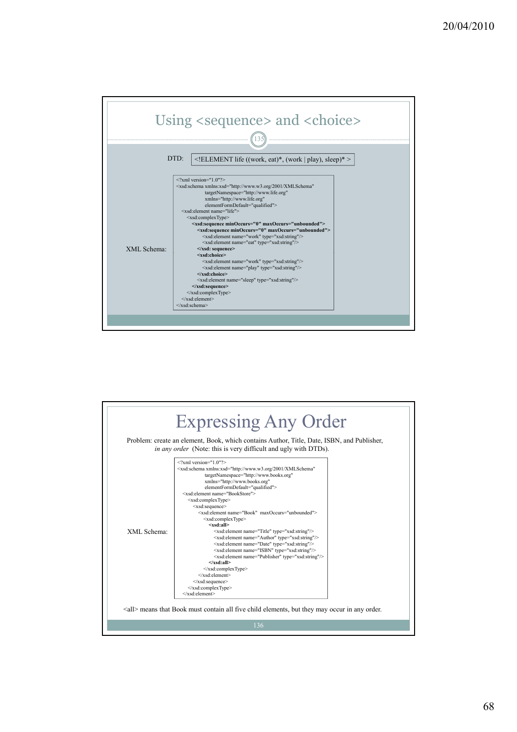![](_page_67_Figure_0.jpeg)

![](_page_67_Figure_1.jpeg)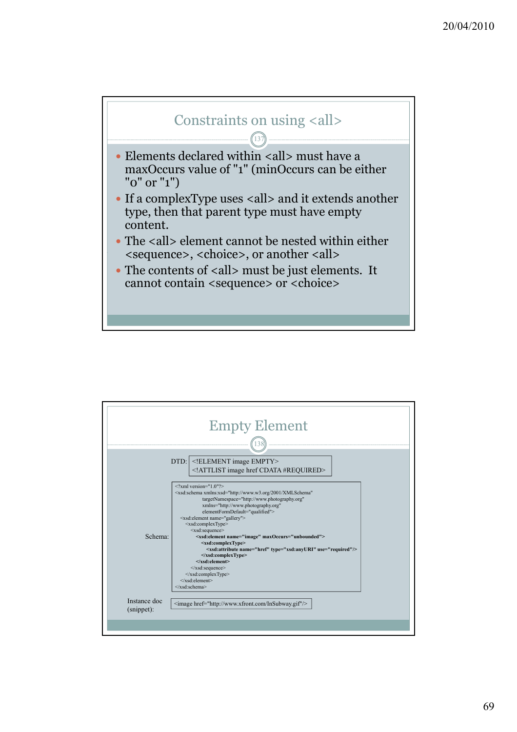![](_page_68_Figure_0.jpeg)

137

- $\bullet$  Elements declared within <all> must have a maxOccurs value of "1" (minOccurs can be either "0" or "1")
- If a complexType uses <all> and it extends another type, then that parent type must have empty content.
- The <all> element cannot be nested within either <sequence>, <choice>, or another <all>
- The contents of <all> must be just elements. It cannot contain <sequence> or <choice>

|                            | <b>Empty Element</b>                                                                                                                                                                                                                                                                                                                                                                                                                                                                                                                                                                                                                                                                                                                                                                                                                 |
|----------------------------|--------------------------------------------------------------------------------------------------------------------------------------------------------------------------------------------------------------------------------------------------------------------------------------------------------------------------------------------------------------------------------------------------------------------------------------------------------------------------------------------------------------------------------------------------------------------------------------------------------------------------------------------------------------------------------------------------------------------------------------------------------------------------------------------------------------------------------------|
|                            |                                                                                                                                                                                                                                                                                                                                                                                                                                                                                                                                                                                                                                                                                                                                                                                                                                      |
|                            | DTD: ELEMENT image EMPTY<br>ATTLIST image href CDATA #REQUIRED                                                                                                                                                                                                                                                                                                                                                                                                                                                                                                                                                                                                                                                                                                                                                                       |
| Schema:                    | $\langle$ ?xml version="1 0"?><br><xsd:schema <br="" xmlns:xsd="http://www.w3.org/2001/XMLSchema">targetNamespace="http://www.photography.org"<br/>xmlns="http://www.photography.org"<br/>elementFormDefault="qualified"&gt;<br/><xsd:element name="gallery"><br/><xsd:complextype><br/><xsd:sequence><br/><xsd:element maxoccurs="unbounded" name="image"><br/><xsd:complextype><br/><xsd:attribute name="href" type="xsd:anyURI" use="required"></xsd:attribute><br/><math>\langle xsd:complexType \rangle</math><br/><math>\le</math>/xsd:element&gt;<br/><math>\le</math>/xsd:sequence&gt;<br/><math>\langle xsd:complexType \rangle</math><br/><math>\langle x s d \cdot element \rangle</math><br/><math>\le</math>/xsd·schema&gt;</xsd:complextype></xsd:element></xsd:sequence></xsd:complextype></xsd:element></xsd:schema> |
| Instance doc<br>(snippet): | <image href="http://www.xfront.com/InSubway.gif"/>                                                                                                                                                                                                                                                                                                                                                                                                                                                                                                                                                                                                                                                                                                                                                                                   |
|                            |                                                                                                                                                                                                                                                                                                                                                                                                                                                                                                                                                                                                                                                                                                                                                                                                                                      |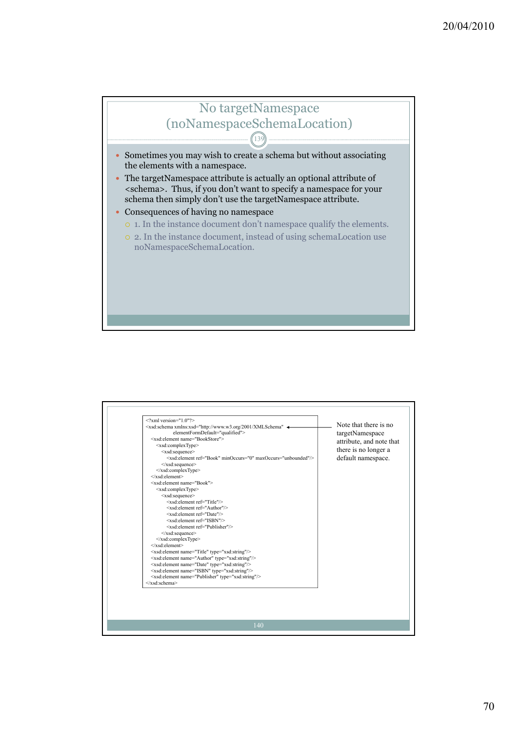## No targetNamespace (noNamespaceSchemaLocation)

139

 $\bullet$  Sometimes you may wish to create a schema but without associating the elements with a namespace.

 $\bullet$  The targetNamespace attribute is actually an optional attribute of <schema>. Thus, if you don't want to specify a namespace for your schema then simply don't use the targetNamespace attribute.

- Consequences of having no namespace
	- { 1. In the instance document don't namespace qualify the elements.
	- { 2. In the instance document, instead of using schemaLocation use noNamespaceSchemaLocation.

| <xsd:element ref="Author"></xsd:element><br><xsd:element ref="Date"></xsd:element><br><xsd:element ref="ISBN"></xsd:element><br><xsd:element ref="Publisher"></xsd:element><br>$\le$ /xsd:sequence><br><br>$\langle x s d \cdot$ element $\rangle$<br><xsd:element name="Title" type="xsd:string"></xsd:element><br><xsd:element name="Author" type="xsd:string"></xsd:element><br><xsd:element name="Date" type="xsd:string"></xsd:element><br><xsd:element name="ISBN" type="xsd:string"></xsd:element> | <xsd:element name="Publisher" type="xsd:string"></xsd:element><br>$\le$ /xsd·schema> |
|-----------------------------------------------------------------------------------------------------------------------------------------------------------------------------------------------------------------------------------------------------------------------------------------------------------------------------------------------------------------------------------------------------------------------------------------------------------------------------------------------------------|--------------------------------------------------------------------------------------|
|-----------------------------------------------------------------------------------------------------------------------------------------------------------------------------------------------------------------------------------------------------------------------------------------------------------------------------------------------------------------------------------------------------------------------------------------------------------------------------------------------------------|--------------------------------------------------------------------------------------|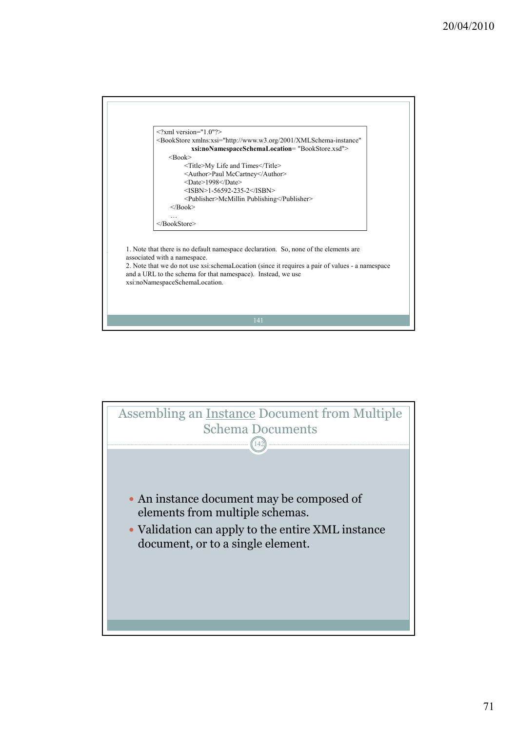![](_page_70_Figure_0.jpeg)

![](_page_70_Picture_1.jpeg)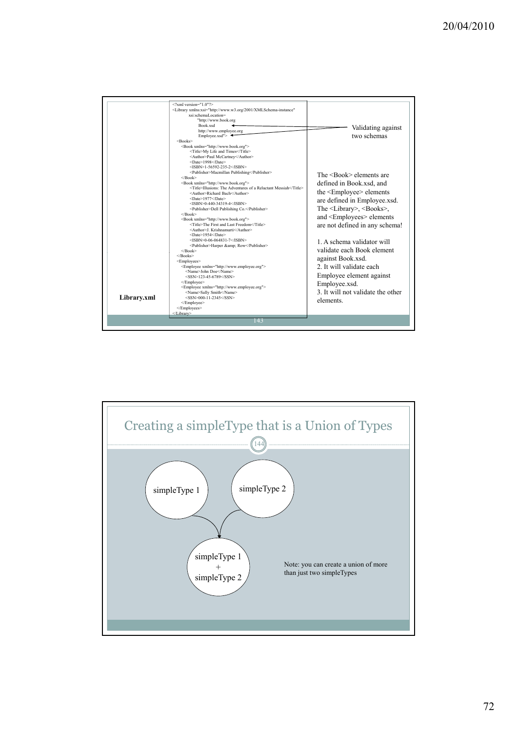| $\leq$ ?xml version="1.0"?><br><library <br="" xmlns:xsi="http://www.w3.org/2001/XMLSchema-instance">xsi:schemaLocation=<br/>"http://www.book.org<br/>Book.xsd<br/>http://www.employee.org<br/>Employee.xsd"&gt;<math>\triangleleft</math><br/><math>&lt;</math>Books&gt;<br/><book xmlns="http://www.book.org"><br/><title>My Life and Times</title><br/><author>Paul McCartney</author><br/><date>1998</date><br/><math>&lt;</math>ISBN&gt;1-56592-235-2<br/><publisher>Macmillan Publishing</publisher><br/><math>&lt;</math>/Book&gt;<br/><book xmlns="http://www.book.org"><br/><title>Illusions: The Adventures of a Reluctant Messiah</title><br/><author>Richard Bach</author><br/><date>1977</date><br/><isbn>0-440-34319-4</isbn><br/><publisher>Dell Publishing Co.</publisher><br/><math>&lt;</math>/Book&gt;<br/><book xmlns="http://www.book.org"><br/><title>The First and Last Freedom</title><br/><author>J Krishnamurti</author><br/><date>1954</date><br/><math>&lt;</math>ISBN&gt;0-06-064831-7<br/><publisher>Harper &amp; Row</publisher><br/><math>&lt;</math>/Book&gt;<br/><math>&lt;</math>/Books&gt;<br/><employees><br/><employee xmlns="http://www.employee.org"><br/><name>John Doe</name><br/><math>&lt;</math>SSN&gt;123-45-6789<br/></employee><br/><employee xmlns="http://www.employee.org"><br/><name>Sally Smith</name><br/>Library.xml<br/><math>&lt;</math>SSN&gt;000-11-2345<br/>elements</employee></employees></book></book></book></library> | Validating against<br>two schemas<br>The $\langle$ Book $\rangle$ elements are<br>defined in Book.xsd, and<br>the <employee> elements<br/>are defined in Employee.xsd.<br/>The <library>, <books>,<br/>and <employees> elements<br/>are not defined in any schema!<br/>1. A schema validator will<br/>validate each Book element<br/>against Book.xsd.<br/>2. It will validate each<br/>Employee element against<br/>Employee.xsd.<br/>3 It will not validate the other</employees></books></library></employee> |
|----------------------------------------------------------------------------------------------------------------------------------------------------------------------------------------------------------------------------------------------------------------------------------------------------------------------------------------------------------------------------------------------------------------------------------------------------------------------------------------------------------------------------------------------------------------------------------------------------------------------------------------------------------------------------------------------------------------------------------------------------------------------------------------------------------------------------------------------------------------------------------------------------------------------------------------------------------------------------------------------------------------------------------------------------------------------------------------------------------------------------------------------------------------------------------------------------------------------------------------------------------------------------------------------------------------------------------------------------------------------------------------------------------------------------------------------------------------------------------------|------------------------------------------------------------------------------------------------------------------------------------------------------------------------------------------------------------------------------------------------------------------------------------------------------------------------------------------------------------------------------------------------------------------------------------------------------------------------------------------------------------------|
|----------------------------------------------------------------------------------------------------------------------------------------------------------------------------------------------------------------------------------------------------------------------------------------------------------------------------------------------------------------------------------------------------------------------------------------------------------------------------------------------------------------------------------------------------------------------------------------------------------------------------------------------------------------------------------------------------------------------------------------------------------------------------------------------------------------------------------------------------------------------------------------------------------------------------------------------------------------------------------------------------------------------------------------------------------------------------------------------------------------------------------------------------------------------------------------------------------------------------------------------------------------------------------------------------------------------------------------------------------------------------------------------------------------------------------------------------------------------------------------|------------------------------------------------------------------------------------------------------------------------------------------------------------------------------------------------------------------------------------------------------------------------------------------------------------------------------------------------------------------------------------------------------------------------------------------------------------------------------------------------------------------|

![](_page_71_Figure_1.jpeg)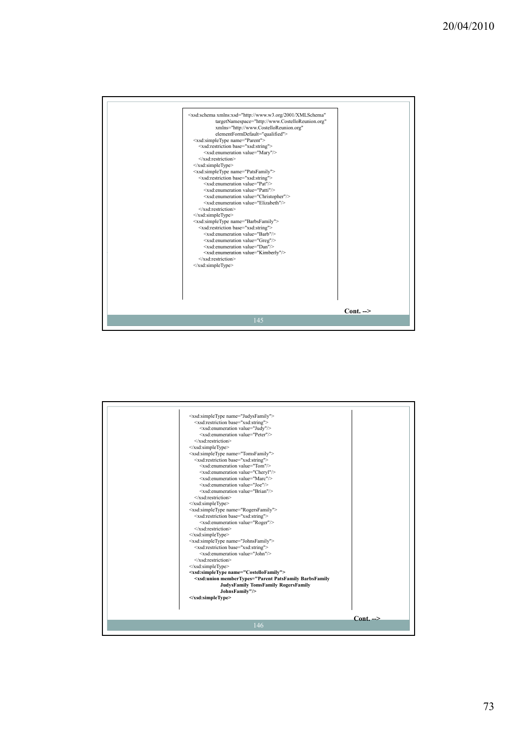

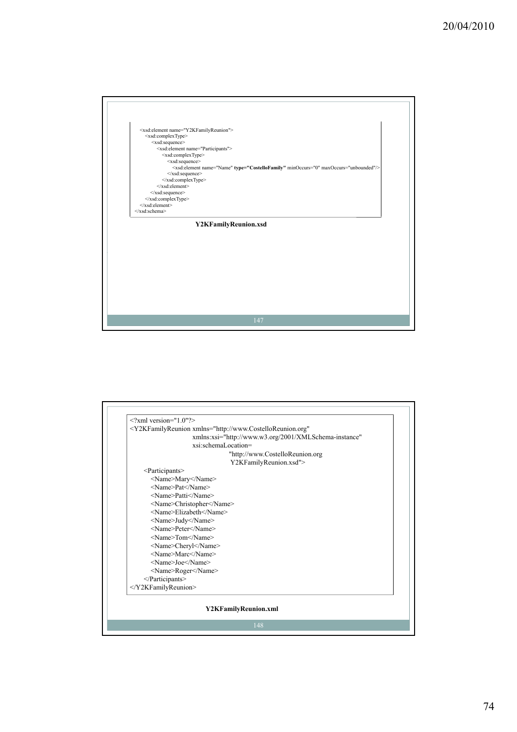

|                               | <y2kfamilyreunion <="" th="" xmlns="http://www.CostelloReunion.org"></y2kfamilyreunion> |  |
|-------------------------------|-----------------------------------------------------------------------------------------|--|
|                               | xmlns:xsi="http://www.w3.org/2001/XMLSchema-instance"                                   |  |
|                               | xsi:schemaLocation=                                                                     |  |
|                               | "http://www.CostelloReunion.org                                                         |  |
| Y2KFamilyReunion.xsd">        |                                                                                         |  |
| <participants></participants> |                                                                                         |  |
|                               | <name>Mary</name>                                                                       |  |
|                               | <name>Pat</name>                                                                        |  |
|                               | <name>Patti</name>                                                                      |  |
|                               | <name>Christopher</name>                                                                |  |
|                               | <name>Elizabeth</name>                                                                  |  |
|                               | <name>Judy</name>                                                                       |  |
|                               | <name>Peter</name>                                                                      |  |
|                               | <name>Tom</name>                                                                        |  |
|                               | <name>Cheryl</name>                                                                     |  |
|                               | <name>Marc</name>                                                                       |  |
|                               | <name>Joe</name>                                                                        |  |
|                               | <name>Roger</name>                                                                      |  |
| $<$ /Participants>            |                                                                                         |  |
|                               |                                                                                         |  |
|                               |                                                                                         |  |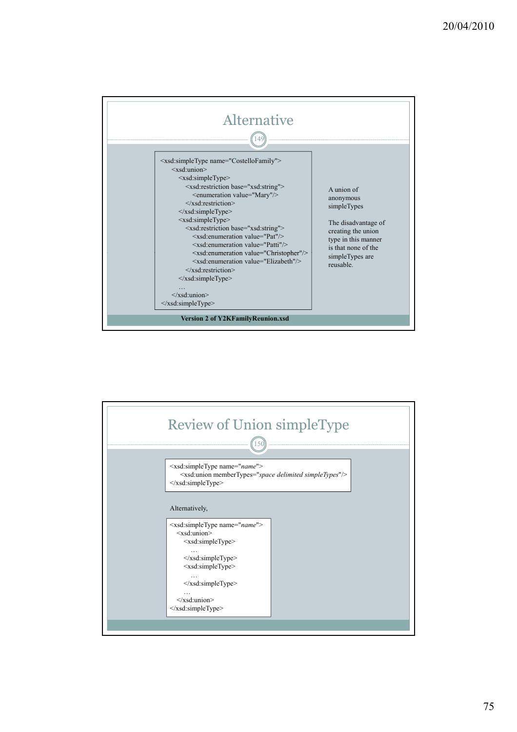

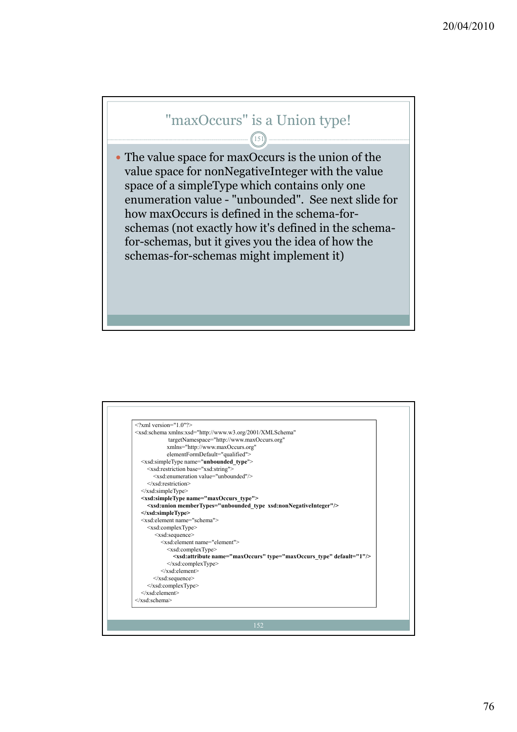## "maxOccurs" is a Union type!

151

y The value space for maxOccurs is the union of the value space for nonNegativeInteger with the value space of a simpleType which contains only one enumeration value - "unbounded". See next slide for how maxOccurs is defined in the schema-forschemas (not exactly how it's defined in the schemafor-schemas, but it gives you the idea of how the schemas-for-schemas might implement it)

| $\langle 2x$ ml version="1 0" $\langle 2x$                                         |
|------------------------------------------------------------------------------------|
| <xsd:schema <="" td="" xmlns:xsd="http://www.w3.org/2001/XMLSchema"></xsd:schema>  |
| targetNamespace="http://www.maxOccurs.org"                                         |
| xmlns="http://www.maxOccurs.org"                                                   |
| elementFormDefault="qualified">                                                    |
| <xsd:simpletype name="unbounded type"></xsd:simpletype>                            |
| <xsd:restriction base="xsd:string"></xsd:restriction>                              |
| <xsd:enumeration value="unbounded"></xsd:enumeration>                              |
| $\langle x \rangle$ sd: restriction                                                |
|                                                                                    |
| <xsd:simpletype name="maxOccurs type"></xsd:simpletype>                            |
| <xsd:union membertypes="unbounded type xsd:nonNegativeInteger"></xsd:union>        |
|                                                                                    |
| <xsd:element name="schema"></xsd:element>                                          |
| <xsd:complextype></xsd:complextype>                                                |
| $<$ xsd:sequence $>$                                                               |
| <xsd:element name="element"></xsd:element>                                         |
| $\leq$ xsd:complexType $>$                                                         |
| <xsd:attribute default="1" name="maxOccurs" type="maxOccurs type"></xsd:attribute> |
| $\langle xsd:complexType \rangle$                                                  |
| $\langle xsd \rangle$ :element>                                                    |
| $\langle xsd:sequence \rangle$                                                     |
| $\le$ /xsd:complexType>                                                            |
|                                                                                    |
| $\langle x s d : \text{scheme} \rangle$                                            |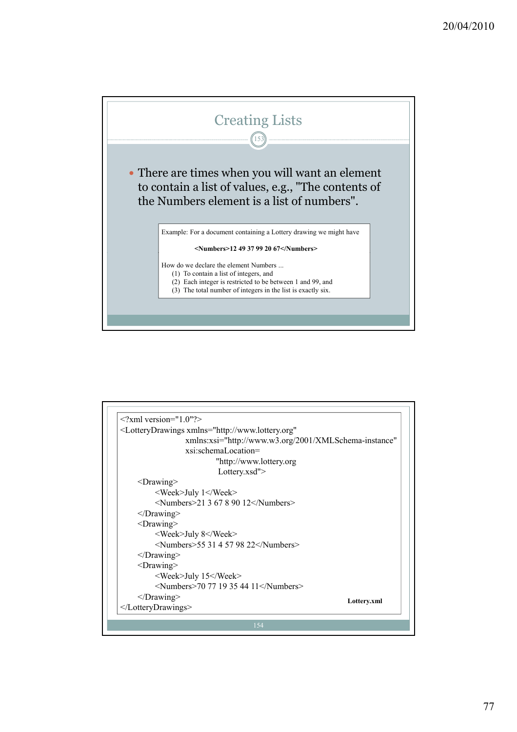

| $\langle 2 \rangle$ xml version="1 0"?>                                                |  |  |
|----------------------------------------------------------------------------------------|--|--|
| <lotterydrawings <="" td="" xmlns="http://www.lottery.org"><td></td></lotterydrawings> |  |  |
| xmlns:xsi="http://www.w3.org/2001/XMLSchema-instance"                                  |  |  |
| xsi:schemaLocation=                                                                    |  |  |
| "http://www.lottery.org                                                                |  |  |
| Lottery.xsd">                                                                          |  |  |
| $<$ Drawing $>$                                                                        |  |  |
| <week>July 1</week>                                                                    |  |  |
| <numbers>21 3 67 8 90 12</numbers>                                                     |  |  |
| $<$ Drawing>                                                                           |  |  |
| $<$ Drawing $>$                                                                        |  |  |
| <week>July 8</week>                                                                    |  |  |
| $\le$ Numbers>55 31 4 57 98 22 $\le$ /Numbers>                                         |  |  |
| $<$ Drawing $>$                                                                        |  |  |
| $<$ Drawing $>$                                                                        |  |  |
| <week>July 15</week>                                                                   |  |  |
| $\le$ Numbers>70 77 19 35 44 11 $\le$ /Numbers>                                        |  |  |
| $<$ Drawing>                                                                           |  |  |
| Lottery.xml<br>                                                                        |  |  |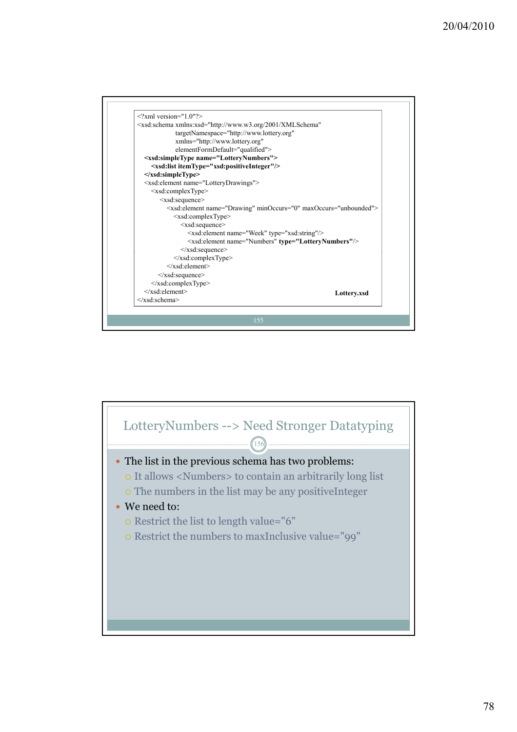

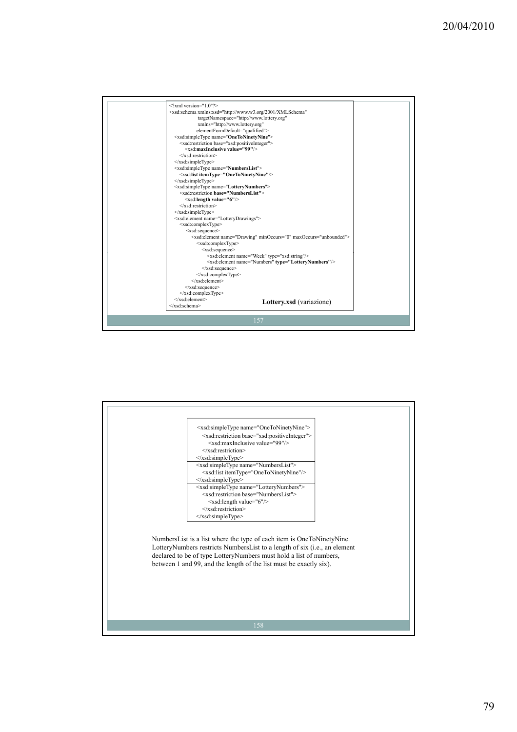

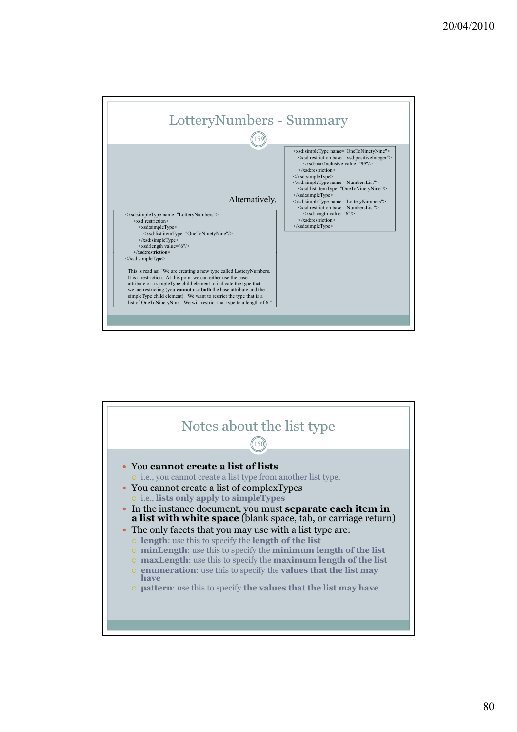

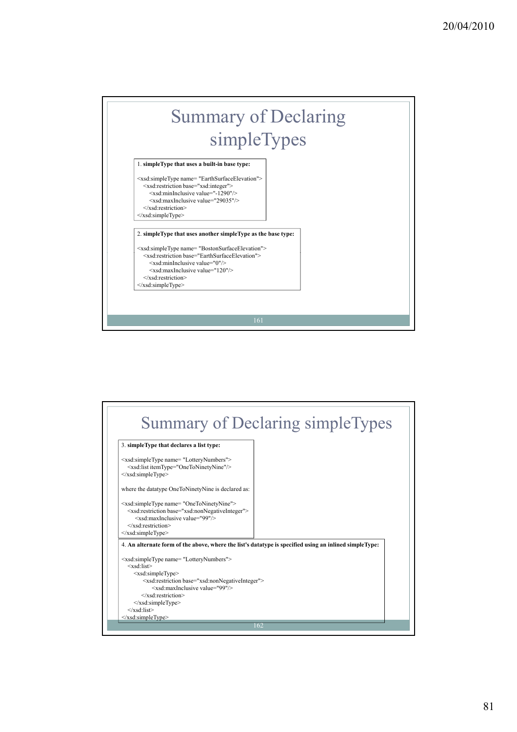## Summary of Declaring simpleTypes

1. **simpleType that uses a built-in base type:**

<xsd:simpleType name= "EarthSurfaceElevation"> <xsd:restriction base="xsd:integer"> <xsd:minInclusive value="-1290"/> <xsd:maxInclusive value="29035"/> </xsd:restriction> </xsd:simpleType>

2. **simpleType that uses another simpleType as the base type:**

<xsd:simpleType name= "BostonSurfaceElevation"> <xsd:restriction base="EarthSurfaceElevation"> <xsd:minInclusive value="0"/> <xsd:maxInclusive value="120"/> </xsd:restriction> </xsd:simpleType>

161

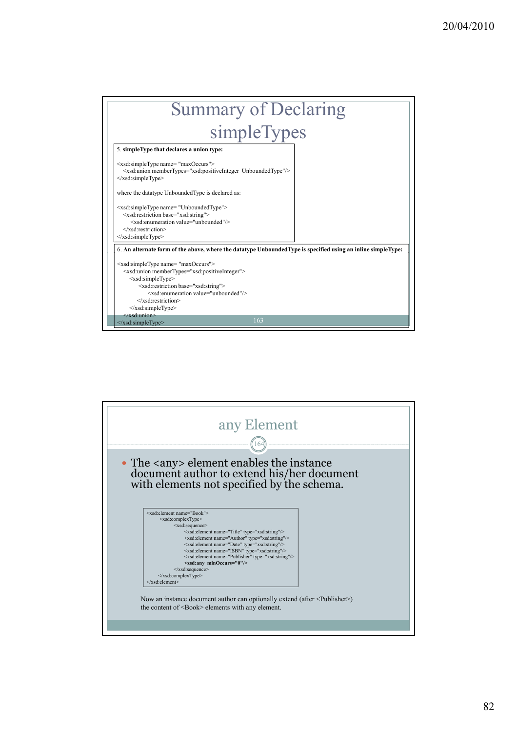| <b>Summary of Declaring</b>                                                                                                                                                                                                                                                                                                                                 |  |  |  |  |  |
|-------------------------------------------------------------------------------------------------------------------------------------------------------------------------------------------------------------------------------------------------------------------------------------------------------------------------------------------------------------|--|--|--|--|--|
| simpleTypes                                                                                                                                                                                                                                                                                                                                                 |  |  |  |  |  |
| 5. simpleType that declares a union type:                                                                                                                                                                                                                                                                                                                   |  |  |  |  |  |
| <xsd:simpletype name="maxOccurs"><br/><xsd:union membertypes="xsd:positiveInteger UnboundedType"></xsd:union><br/></xsd:simpletype>                                                                                                                                                                                                                         |  |  |  |  |  |
| where the datatype UnboundedType is declared as:                                                                                                                                                                                                                                                                                                            |  |  |  |  |  |
| <xsd:simpletype name="UnboundedType"><br/><xsd:restriction base="xsd:string"><br/><xsd:enumeration value="unbounded"></xsd:enumeration><br/><math>\le</math>/xsd:restriction&gt;<br/><math>\langle xsd:simpleType \rangle</math></xsd:restriction></xsd:simpletype>                                                                                         |  |  |  |  |  |
| 6. An alternate form of the above, where the datatype UnboundedType is specified using an inline simpleType:                                                                                                                                                                                                                                                |  |  |  |  |  |
| <xsd:simpletype name="maxOccurs"><br/><xsd:union membertypes="xsd:positiveInteger"><br/><xsd:simpletype><br/><xsd:restriction base="xsd:string"><br/><xsd:enumeration value="unbounded"></xsd:enumeration><br/><math>\le</math>/xsd:restriction&gt;<br/></xsd:restriction></xsd:simpletype><br/><math>\le</math>/xsd·union&gt;</xsd:union></xsd:simpletype> |  |  |  |  |  |
| 163<br>$\le$ /xsd:simpleType>                                                                                                                                                                                                                                                                                                                               |  |  |  |  |  |

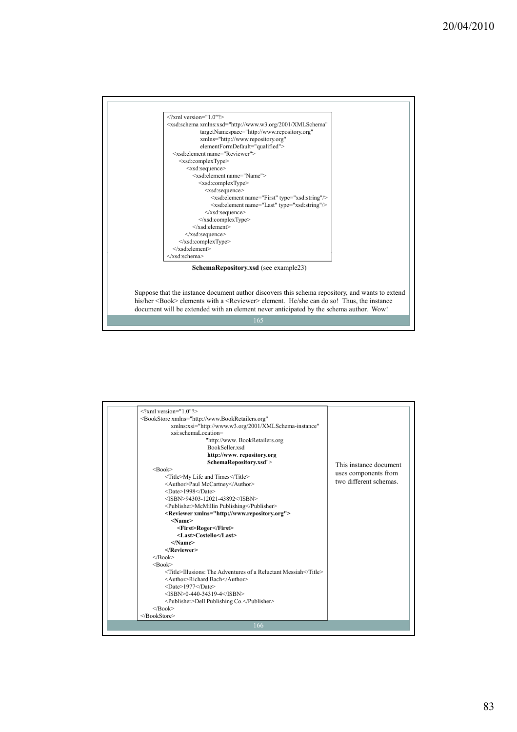

| $\langle 2 \times 2 \times 1 \rangle$ version="1.0"?>                            |                        |  |  |  |  |  |
|----------------------------------------------------------------------------------|------------------------|--|--|--|--|--|
| <bookstore <="" td="" xmlns="http://www.BookRetailers.org"><td></td></bookstore> |                        |  |  |  |  |  |
| xmlns:xsi="http://www.w3.org/2001/XMLSchema-instance"                            |                        |  |  |  |  |  |
| xsi:schemaLocation=                                                              |                        |  |  |  |  |  |
| "http://www. BookRetailers.org                                                   |                        |  |  |  |  |  |
| BookSeller xsd                                                                   |                        |  |  |  |  |  |
| http://www.repository.org                                                        |                        |  |  |  |  |  |
| SchemaRepository.xsd">                                                           | This instance document |  |  |  |  |  |
| $<$ Book $>$                                                                     |                        |  |  |  |  |  |
| <title>My Life and Times</title>                                                 | uses components from   |  |  |  |  |  |
| <author>Paul McCartney</author>                                                  | two different schemas. |  |  |  |  |  |
| <date>1998</date>                                                                |                        |  |  |  |  |  |
| $<$ ISBN>94303-12021-43892                                                       |                        |  |  |  |  |  |
| <publisher>McMillin Publishing</publisher>                                       |                        |  |  |  |  |  |
| <reviewer xmlns="http://www.repository.org"></reviewer>                          |                        |  |  |  |  |  |
| $<$ Name $>$                                                                     |                        |  |  |  |  |  |
| <first>Roger</first>                                                             |                        |  |  |  |  |  |
| <last>Costello</last>                                                            |                        |  |  |  |  |  |
| $<$ /Name>                                                                       |                        |  |  |  |  |  |
|                                                                                  |                        |  |  |  |  |  |
| $<$ /Book>                                                                       |                        |  |  |  |  |  |
| $<$ Book $>$                                                                     |                        |  |  |  |  |  |
| <title>Illusions: The Adventures of a Reluctant Messiah</title>                  |                        |  |  |  |  |  |
| <author>Richard Bach</author>                                                    |                        |  |  |  |  |  |
| <date>1977</date>                                                                |                        |  |  |  |  |  |
| $<$ ISBN>0-440-34319-4                                                           |                        |  |  |  |  |  |
| <publisher>Dell Publishing Co.</publisher>                                       |                        |  |  |  |  |  |
| $<$ /Book>                                                                       |                        |  |  |  |  |  |
|                                                                                  |                        |  |  |  |  |  |
| 166                                                                              |                        |  |  |  |  |  |
|                                                                                  |                        |  |  |  |  |  |